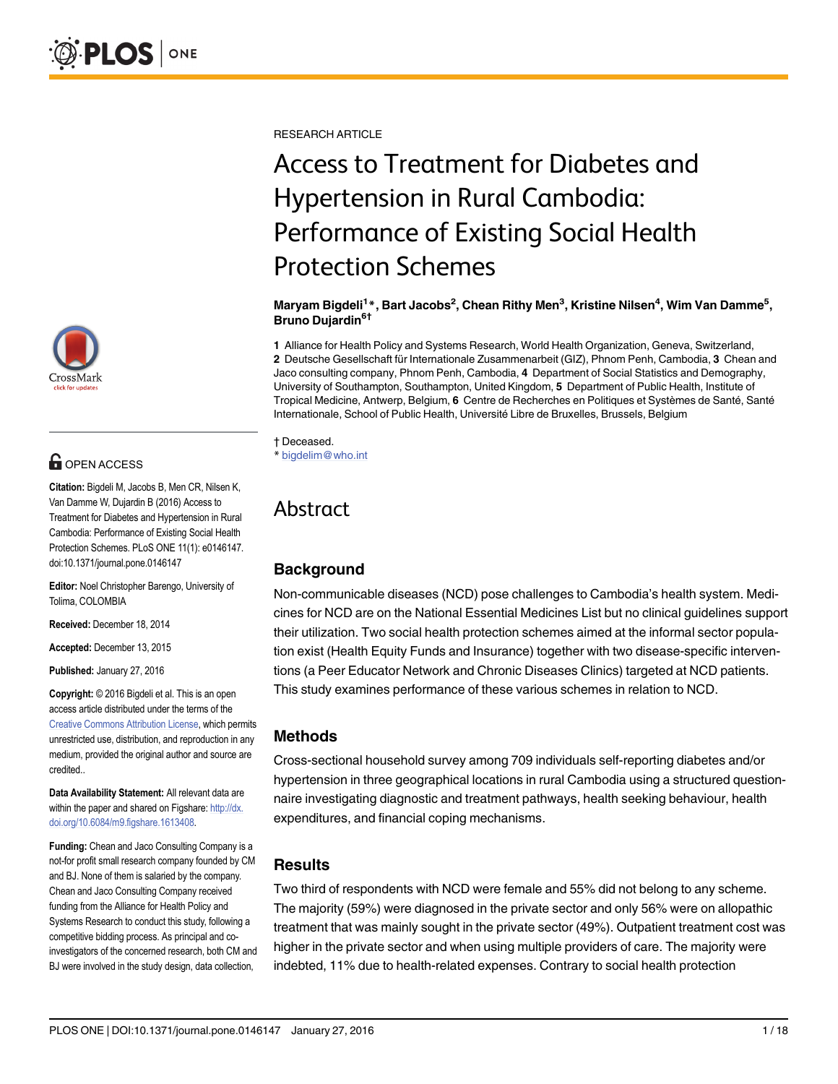

## **OPEN ACCESS**

Citation: Bigdeli M, Jacobs B, Men CR, Nilsen K, Van Damme W, Dujardin B (2016) Access to Treatment for Diabetes and Hypertension in Rural Cambodia: Performance of Existing Social Health Protection Schemes. PLoS ONE 11(1): e0146147. doi:10.1371/journal.pone.0146147

Editor: Noel Christopher Barengo, University of Tolima, COLOMBIA

Received: December 18, 2014

Accepted: December 13, 2015

Published: January 27, 2016

Copyright: © 2016 Bigdeli et al. This is an open access article distributed under the terms of the [Creative Commons Attribution License,](http://creativecommons.org/licenses/by/4.0/) which permits unrestricted use, distribution, and reproduction in any medium, provided the original author and source are credited..

Data Availability Statement: All relevant data are within the paper and shared on Figshare: [http://dx.](http://dx.doi.org/10.6084/m9.figshare.1613408) [doi.org/10.6084/m9.figshare.1613408.](http://dx.doi.org/10.6084/m9.figshare.1613408)

Funding: Chean and Jaco Consulting Company is a not-for profit small research company founded by CM and BJ. None of them is salaried by the company. Chean and Jaco Consulting Company received funding from the Alliance for Health Policy and Systems Research to conduct this study, following a competitive bidding process. As principal and coinvestigators of the concerned research, both CM and BJ were involved in the study design, data collection,

RESEARCH ARTICLE

# Access to Treatment for Diabetes and Hypertension in Rural Cambodia: Performance of Existing Social Health Protection Schemes

## Maryam Bigdeli<sup>1</sup>\*, Bart Jacobs<sup>2</sup>, Chean Rithy Men<sup>3</sup>, Kristine Nilsen<sup>4</sup>, Wim Van Damme<sup>5</sup>, Bruno Dujardin<sup>6†</sup>

1 Alliance for Health Policy and Systems Research, World Health Organization, Geneva, Switzerland, 2 Deutsche Gesellschaft für Internationale Zusammenarbeit (GIZ), Phnom Penh, Cambodia, 3 Chean and Jaco consulting company, Phnom Penh, Cambodia, 4 Department of Social Statistics and Demography, University of Southampton, Southampton, United Kingdom, 5 Department of Public Health, Institute of Tropical Medicine, Antwerp, Belgium, 6 Centre de Recherches en Politiques et Systèmes de Santé, Santé Internationale, School of Public Health, Université Libre de Bruxelles, Brussels, Belgium

† Deceased. \* bigdelim@who.int

## Abstract

## **Background**

Non-communicable diseases (NCD) pose challenges to Cambodia's health system. Medicines for NCD are on the National Essential Medicines List but no clinical guidelines support their utilization. Two social health protection schemes aimed at the informal sector population exist (Health Equity Funds and Insurance) together with two disease-specific interventions (a Peer Educator Network and Chronic Diseases Clinics) targeted at NCD patients. This study examines performance of these various schemes in relation to NCD.

## Methods

Cross-sectional household survey among 709 individuals self-reporting diabetes and/or hypertension in three geographical locations in rural Cambodia using a structured questionnaire investigating diagnostic and treatment pathways, health seeking behaviour, health expenditures, and financial coping mechanisms.

## **Results**

Two third of respondents with NCD were female and 55% did not belong to any scheme. The majority (59%) were diagnosed in the private sector and only 56% were on allopathic treatment that was mainly sought in the private sector (49%). Outpatient treatment cost was higher in the private sector and when using multiple providers of care. The majority were indebted, 11% due to health-related expenses. Contrary to social health protection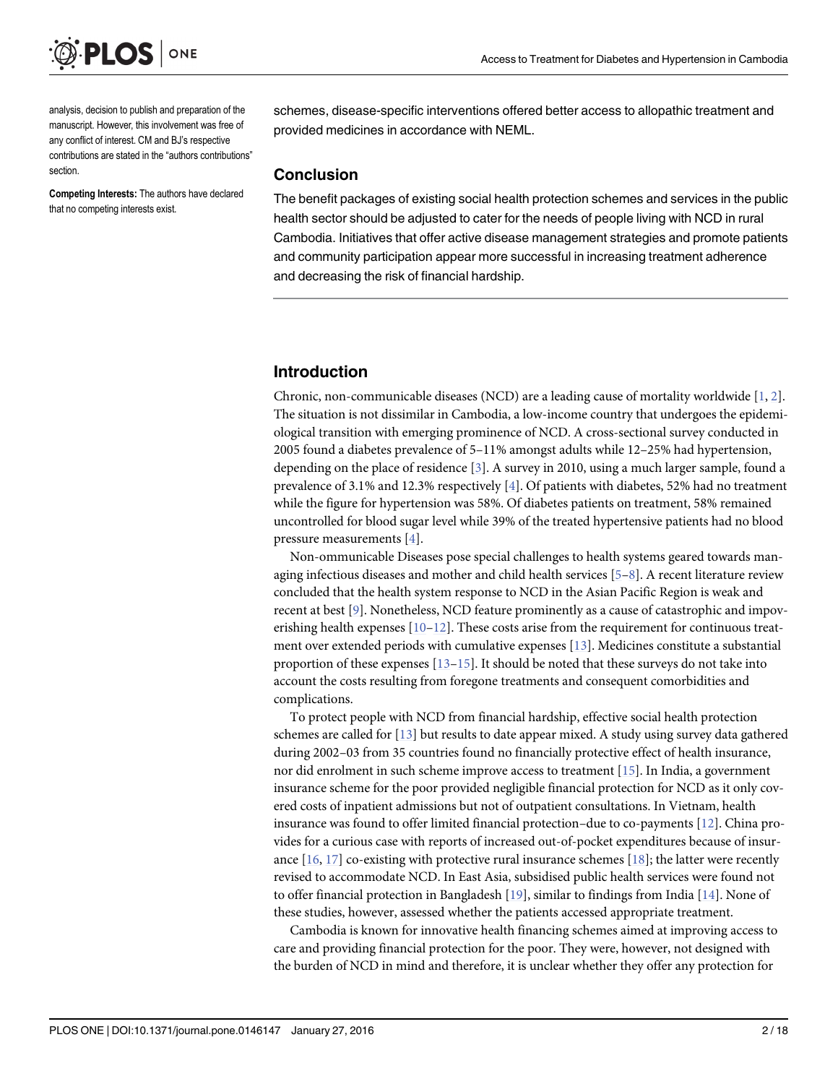<span id="page-1-0"></span>

analysis, decision to publish and preparation of the manuscript. However, this involvement was free of any conflict of interest. CM and BJ's respective contributions are stated in the "authors contributions" section.

Competing Interests: The authors have declared that no competing interests exist.

## schemes, disease-specific interventions offered better access to allopathic treatment and provided medicines in accordance with NEML.

## **Conclusion**

The benefit packages of existing social health protection schemes and services in the public health sector should be adjusted to cater for the needs of people living with NCD in rural Cambodia. Initiatives that offer active disease management strategies and promote patients and community participation appear more successful in increasing treatment adherence and decreasing the risk of financial hardship.

## Introduction

Chronic, non-communicable diseases (NCD) are a leading cause of mortality worldwide [\[1](#page-14-0), [2](#page-14-0)]. The situation is not dissimilar in Cambodia, a low-income country that undergoes the epidemiological transition with emerging prominence of NCD. A cross-sectional survey conducted in 2005 found a diabetes prevalence of 5–11% amongst adults while 12–25% had hypertension, depending on the place of residence [\[3\]](#page-14-0). A survey in 2010, using a much larger sample, found a prevalence of 3.1% and 12.3% respectively [[4\]](#page-14-0). Of patients with diabetes, 52% had no treatment while the figure for hypertension was 58%. Of diabetes patients on treatment, 58% remained uncontrolled for blood sugar level while 39% of the treated hypertensive patients had no blood pressure measurements [[4\]](#page-14-0).

Non-ommunicable Diseases pose special challenges to health systems geared towards managing infectious diseases and mother and child health services [[5](#page-14-0)–[8](#page-15-0)]. A recent literature review concluded that the health system response to NCD in the Asian Pacific Region is weak and recent at best [[9\]](#page-15-0). Nonetheless, NCD feature prominently as a cause of catastrophic and impoverishing health expenses  $[10-12]$  $[10-12]$  $[10-12]$  $[10-12]$  $[10-12]$ . These costs arise from the requirement for continuous treatment over extended periods with cumulative expenses [\[13](#page-15-0)]. Medicines constitute a substantial proportion of these expenses  $[13-15]$  $[13-15]$  $[13-15]$ . It should be noted that these surveys do not take into account the costs resulting from foregone treatments and consequent comorbidities and complications.

To protect people with NCD from financial hardship, effective social health protection schemes are called for [[13\]](#page-15-0) but results to date appear mixed. A study using survey data gathered during 2002–03 from 35 countries found no financially protective effect of health insurance, nor did enrolment in such scheme improve access to treatment [[15](#page-15-0)]. In India, a government insurance scheme for the poor provided negligible financial protection for NCD as it only covered costs of inpatient admissions but not of outpatient consultations. In Vietnam, health insurance was found to offer limited financial protection–due to co-payments [\[12\]](#page-15-0). China provides for a curious case with reports of increased out-of-pocket expenditures because of insurance  $[16, 17]$  $[16, 17]$  $[16, 17]$  $[16, 17]$  $[16, 17]$  co-existing with protective rural insurance schemes  $[18]$  $[18]$  $[18]$ ; the latter were recently revised to accommodate NCD. In East Asia, subsidised public health services were found not to offer financial protection in Bangladesh [[19](#page-15-0)], similar to findings from India [\[14\]](#page-15-0). None of these studies, however, assessed whether the patients accessed appropriate treatment.

Cambodia is known for innovative health financing schemes aimed at improving access to care and providing financial protection for the poor. They were, however, not designed with the burden of NCD in mind and therefore, it is unclear whether they offer any protection for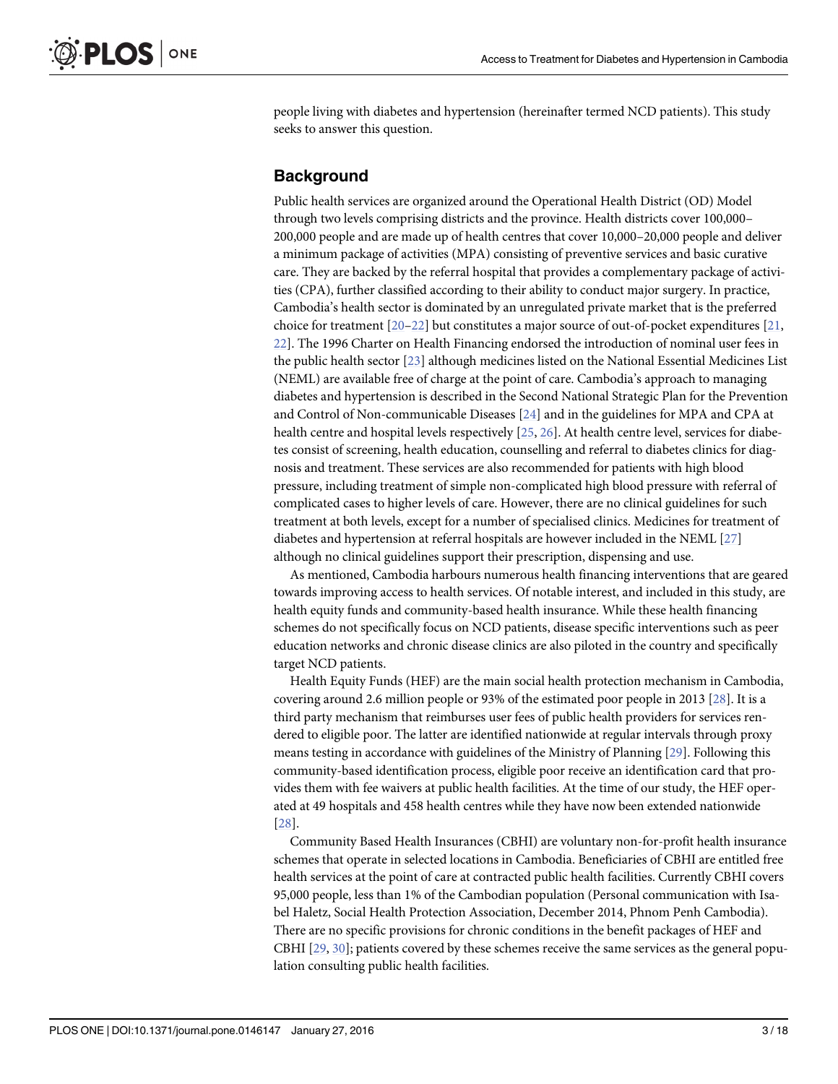<span id="page-2-0"></span>people living with diabetes and hypertension (hereinafter termed NCD patients). This study seeks to answer this question.

## **Background**

Public health services are organized around the Operational Health District (OD) Model through two levels comprising districts and the province. Health districts cover 100,000– 200,000 people and are made up of health centres that cover 10,000–20,000 people and deliver a minimum package of activities (MPA) consisting of preventive services and basic curative care. They are backed by the referral hospital that provides a complementary package of activities (CPA), further classified according to their ability to conduct major surgery. In practice, Cambodia's health sector is dominated by an unregulated private market that is the preferred choice for treatment [\[20](#page-15-0)–[22](#page-15-0)] but constitutes a major source of out-of-pocket expenditures [\[21,](#page-15-0) [22\]](#page-15-0). The 1996 Charter on Health Financing endorsed the introduction of nominal user fees in the public health sector [[23](#page-15-0)] although medicines listed on the National Essential Medicines List (NEML) are available free of charge at the point of care. Cambodia's approach to managing diabetes and hypertension is described in the Second National Strategic Plan for the Prevention and Control of Non-communicable Diseases [\[24](#page-15-0)] and in the guidelines for MPA and CPA at health centre and hospital levels respectively  $[25, 26]$  $[25, 26]$  $[25, 26]$  $[25, 26]$  $[25, 26]$ . At health centre level, services for diabetes consist of screening, health education, counselling and referral to diabetes clinics for diagnosis and treatment. These services are also recommended for patients with high blood pressure, including treatment of simple non-complicated high blood pressure with referral of complicated cases to higher levels of care. However, there are no clinical guidelines for such treatment at both levels, except for a number of specialised clinics. Medicines for treatment of diabetes and hypertension at referral hospitals are however included in the NEML [\[27\]](#page-15-0) although no clinical guidelines support their prescription, dispensing and use.

As mentioned, Cambodia harbours numerous health financing interventions that are geared towards improving access to health services. Of notable interest, and included in this study, are health equity funds and community-based health insurance. While these health financing schemes do not specifically focus on NCD patients, disease specific interventions such as peer education networks and chronic disease clinics are also piloted in the country and specifically target NCD patients.

Health Equity Funds (HEF) are the main social health protection mechanism in Cambodia, covering around 2.6 million people or 93% of the estimated poor people in 2013 [\[28\]](#page-15-0). It is a third party mechanism that reimburses user fees of public health providers for services rendered to eligible poor. The latter are identified nationwide at regular intervals through proxy means testing in accordance with guidelines of the Ministry of Planning [\[29\]](#page-16-0). Following this community-based identification process, eligible poor receive an identification card that provides them with fee waivers at public health facilities. At the time of our study, the HEF operated at 49 hospitals and 458 health centres while they have now been extended nationwide [\[28](#page-15-0)].

Community Based Health Insurances (CBHI) are voluntary non-for-profit health insurance schemes that operate in selected locations in Cambodia. Beneficiaries of CBHI are entitled free health services at the point of care at contracted public health facilities. Currently CBHI covers 95,000 people, less than 1% of the Cambodian population (Personal communication with Isabel Haletz, Social Health Protection Association, December 2014, Phnom Penh Cambodia). There are no specific provisions for chronic conditions in the benefit packages of HEF and CBHI [[29,](#page-16-0) [30](#page-16-0)]; patients covered by these schemes receive the same services as the general population consulting public health facilities.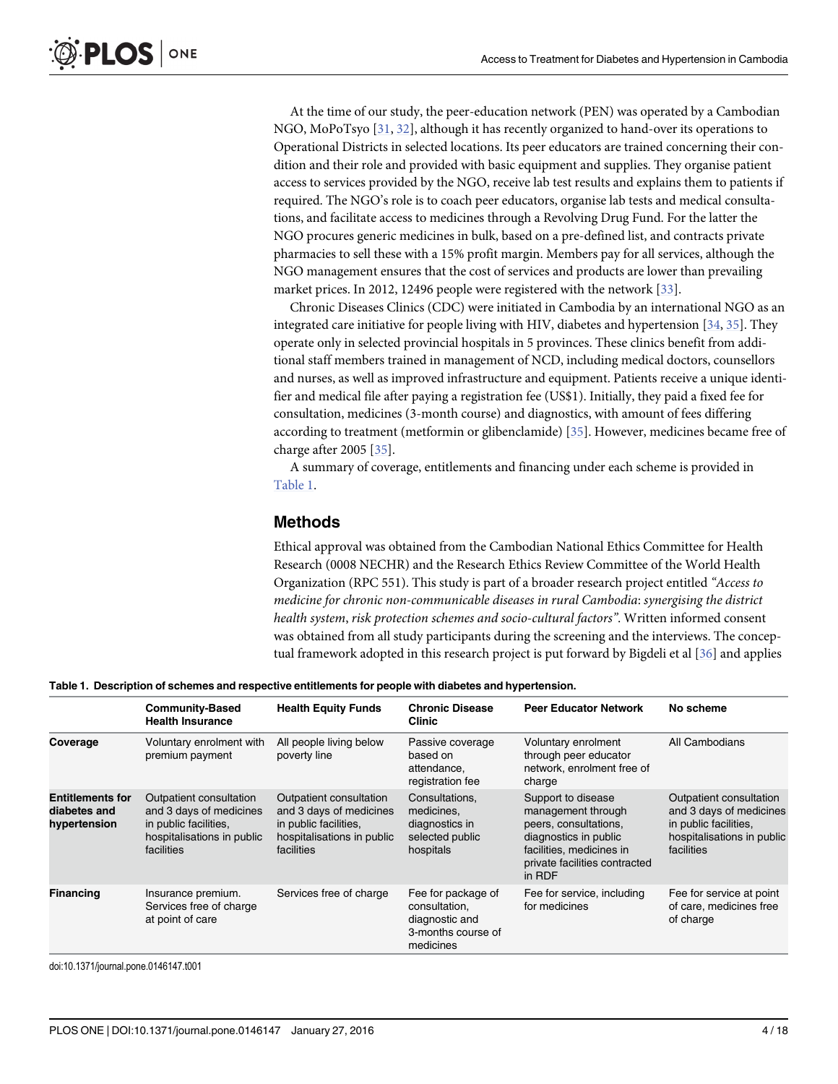<span id="page-3-0"></span>**PLOS** ONE

> At the time of our study, the peer-education network (PEN) was operated by a Cambodian NGO, MoPoTsyo [[31](#page-16-0), [32](#page-16-0)], although it has recently organized to hand-over its operations to Operational Districts in selected locations. Its peer educators are trained concerning their condition and their role and provided with basic equipment and supplies. They organise patient access to services provided by the NGO, receive lab test results and explains them to patients if required. The NGO's role is to coach peer educators, organise lab tests and medical consultations, and facilitate access to medicines through a Revolving Drug Fund. For the latter the NGO procures generic medicines in bulk, based on a pre-defined list, and contracts private pharmacies to sell these with a 15% profit margin. Members pay for all services, although the NGO management ensures that the cost of services and products are lower than prevailing market prices. In 2012, 12496 people were registered with the network [[33](#page-16-0)].

> Chronic Diseases Clinics (CDC) were initiated in Cambodia by an international NGO as an integrated care initiative for people living with HIV, diabetes and hypertension [[34](#page-16-0), [35](#page-16-0)]. They operate only in selected provincial hospitals in 5 provinces. These clinics benefit from additional staff members trained in management of NCD, including medical doctors, counsellors and nurses, as well as improved infrastructure and equipment. Patients receive a unique identifier and medical file after paying a registration fee (US\$1). Initially, they paid a fixed fee for consultation, medicines (3-month course) and diagnostics, with amount of fees differing according to treatment (metformin or glibenclamide) [[35\]](#page-16-0). However, medicines became free of charge after 2005 [[35](#page-16-0)].

A summary of coverage, entitlements and financing under each scheme is provided in Table 1.

## Methods

Ethical approval was obtained from the Cambodian National Ethics Committee for Health Research (0008 NECHR) and the Research Ethics Review Committee of the World Health Organization (RPC 551). This study is part of a broader research project entitled "Access to medicine for chronic non-communicable diseases in rural Cambodia: synergising the district health system, risk protection schemes and socio-cultural factors". Written informed consent was obtained from all study participants during the screening and the interviews. The conceptual framework adopted in this research project is put forward by Bigdeli et al [\[36\]](#page-16-0) and applies

|                                                         | <b>Community-Based</b><br><b>Health Insurance</b>                                                                       | <b>Health Equity Funds</b>                                                                                              | <b>Chronic Disease</b><br><b>Clinic</b>                                                  | <b>Peer Educator Network</b>                                                                                                                                      | No scheme                                                                                                               |
|---------------------------------------------------------|-------------------------------------------------------------------------------------------------------------------------|-------------------------------------------------------------------------------------------------------------------------|------------------------------------------------------------------------------------------|-------------------------------------------------------------------------------------------------------------------------------------------------------------------|-------------------------------------------------------------------------------------------------------------------------|
| Coverage                                                | Voluntary enrolment with<br>premium payment                                                                             | All people living below<br>poverty line                                                                                 | Passive coverage<br>based on<br>attendance,<br>registration fee                          | Voluntary enrolment<br>through peer educator<br>network, enrolment free of<br>charge                                                                              | All Cambodians                                                                                                          |
| <b>Entitlements for</b><br>diabetes and<br>hypertension | Outpatient consultation<br>and 3 days of medicines<br>in public facilities.<br>hospitalisations in public<br>facilities | Outpatient consultation<br>and 3 days of medicines<br>in public facilities.<br>hospitalisations in public<br>facilities | Consultations.<br>medicines.<br>diagnostics in<br>selected public<br>hospitals           | Support to disease<br>management through<br>peers, consultations,<br>diagnostics in public<br>facilities, medicines in<br>private facilities contracted<br>in RDF | Outpatient consultation<br>and 3 days of medicines<br>in public facilities.<br>hospitalisations in public<br>facilities |
| <b>Financing</b>                                        | Insurance premium.<br>Services free of charge<br>at point of care                                                       | Services free of charge                                                                                                 | Fee for package of<br>consultation,<br>diagnostic and<br>3-months course of<br>medicines | Fee for service, including<br>for medicines                                                                                                                       | Fee for service at point<br>of care, medicines free<br>of charge                                                        |

Table 1. Description of schemes and respective entitlements for people with diabetes and hypertension.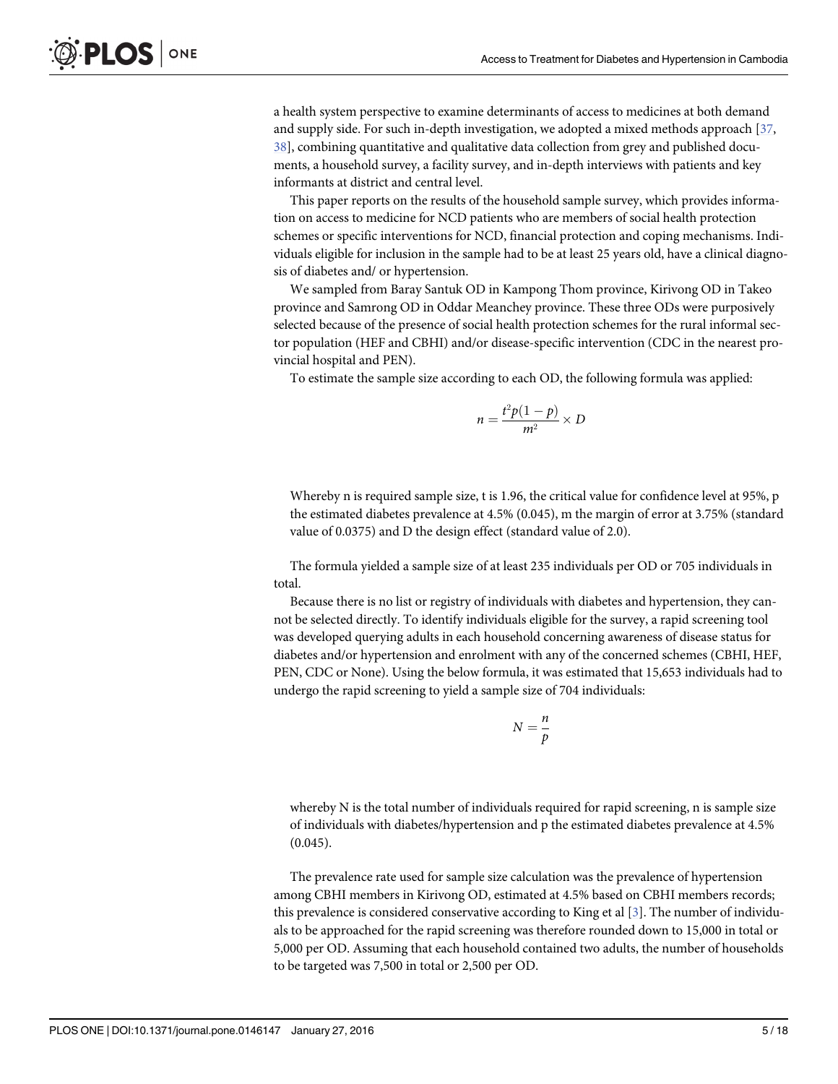<span id="page-4-0"></span>a health system perspective to examine determinants of access to medicines at both demand and supply side. For such in-depth investigation, we adopted a mixed methods approach [\[37](#page-16-0), [38\]](#page-16-0), combining quantitative and qualitative data collection from grey and published documents, a household survey, a facility survey, and in-depth interviews with patients and key informants at district and central level.

This paper reports on the results of the household sample survey, which provides information on access to medicine for NCD patients who are members of social health protection schemes or specific interventions for NCD, financial protection and coping mechanisms. Individuals eligible for inclusion in the sample had to be at least 25 years old, have a clinical diagnosis of diabetes and/ or hypertension.

We sampled from Baray Santuk OD in Kampong Thom province, Kirivong OD in Takeo province and Samrong OD in Oddar Meanchey province. These three ODs were purposively selected because of the presence of social health protection schemes for the rural informal sector population (HEF and CBHI) and/or disease-specific intervention (CDC in the nearest provincial hospital and PEN).

To estimate the sample size according to each OD, the following formula was applied:

$$
n = \frac{t^2 p(1-p)}{m^2} \times D
$$

Whereby n is required sample size, t is 1.96, the critical value for confidence level at 95%, p the estimated diabetes prevalence at 4.5% (0.045), m the margin of error at 3.75% (standard value of 0.0375) and D the design effect (standard value of 2.0).

The formula yielded a sample size of at least 235 individuals per OD or 705 individuals in total.

Because there is no list or registry of individuals with diabetes and hypertension, they cannot be selected directly. To identify individuals eligible for the survey, a rapid screening tool was developed querying adults in each household concerning awareness of disease status for diabetes and/or hypertension and enrolment with any of the concerned schemes (CBHI, HEF, PEN, CDC or None). Using the below formula, it was estimated that 15,653 individuals had to undergo the rapid screening to yield a sample size of 704 individuals:

$$
N=\frac{n}{p}
$$

whereby N is the total number of individuals required for rapid screening, n is sample size of individuals with diabetes/hypertension and p the estimated diabetes prevalence at 4.5%  $(0.045).$ 

The prevalence rate used for sample size calculation was the prevalence of hypertension among CBHI members in Kirivong OD, estimated at 4.5% based on CBHI members records; this prevalence is considered conservative according to King et al [\[3\]](#page-14-0). The number of individuals to be approached for the rapid screening was therefore rounded down to 15,000 in total or 5,000 per OD. Assuming that each household contained two adults, the number of households to be targeted was 7,500 in total or 2,500 per OD.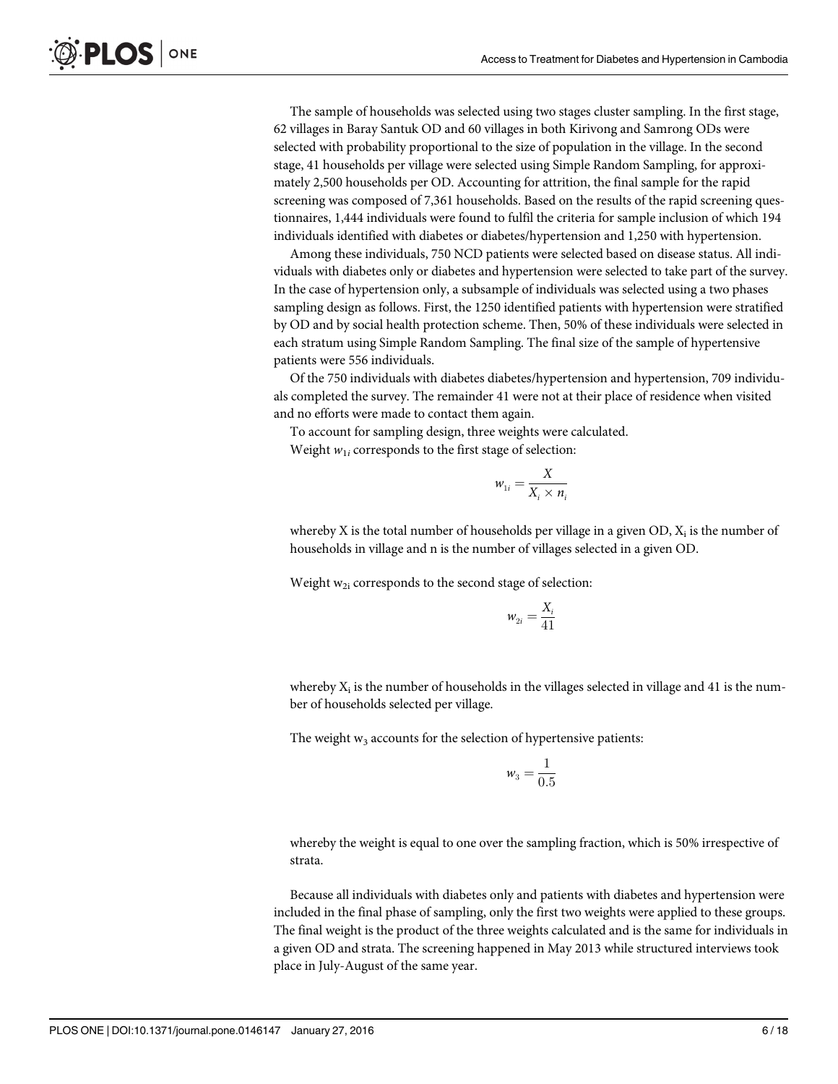The sample of households was selected using two stages cluster sampling. In the first stage, 62 villages in Baray Santuk OD and 60 villages in both Kirivong and Samrong ODs were selected with probability proportional to the size of population in the village. In the second stage, 41 households per village were selected using Simple Random Sampling, for approximately 2,500 households per OD. Accounting for attrition, the final sample for the rapid screening was composed of 7,361 households. Based on the results of the rapid screening questionnaires, 1,444 individuals were found to fulfil the criteria for sample inclusion of which 194 individuals identified with diabetes or diabetes/hypertension and 1,250 with hypertension.

Among these individuals, 750 NCD patients were selected based on disease status. All individuals with diabetes only or diabetes and hypertension were selected to take part of the survey. In the case of hypertension only, a subsample of individuals was selected using a two phases sampling design as follows. First, the 1250 identified patients with hypertension were stratified by OD and by social health protection scheme. Then, 50% of these individuals were selected in each stratum using Simple Random Sampling. The final size of the sample of hypertensive patients were 556 individuals.

Of the 750 individuals with diabetes diabetes/hypertension and hypertension, 709 individuals completed the survey. The remainder 41 were not at their place of residence when visited and no efforts were made to contact them again.

To account for sampling design, three weights were calculated. Weight  $w_{1i}$  corresponds to the first stage of selection:

$$
w_{1i} = \frac{X}{X_i \times n_i}
$$

whereby X is the total number of households per village in a given OD,  $X_i$  is the number of households in village and n is the number of villages selected in a given OD.

Weight  $w_{2i}$  corresponds to the second stage of selection:

$$
w_{2i} = \frac{X_i}{41}
$$

whereby  $X_i$  is the number of households in the villages selected in village and 41 is the number of households selected per village.

The weight  $w_3$  accounts for the selection of hypertensive patients:

$$
w_3 = \frac{1}{0.5}
$$

whereby the weight is equal to one over the sampling fraction, which is 50% irrespective of strata.

Because all individuals with diabetes only and patients with diabetes and hypertension were included in the final phase of sampling, only the first two weights were applied to these groups. The final weight is the product of the three weights calculated and is the same for individuals in a given OD and strata. The screening happened in May 2013 while structured interviews took place in July-August of the same year.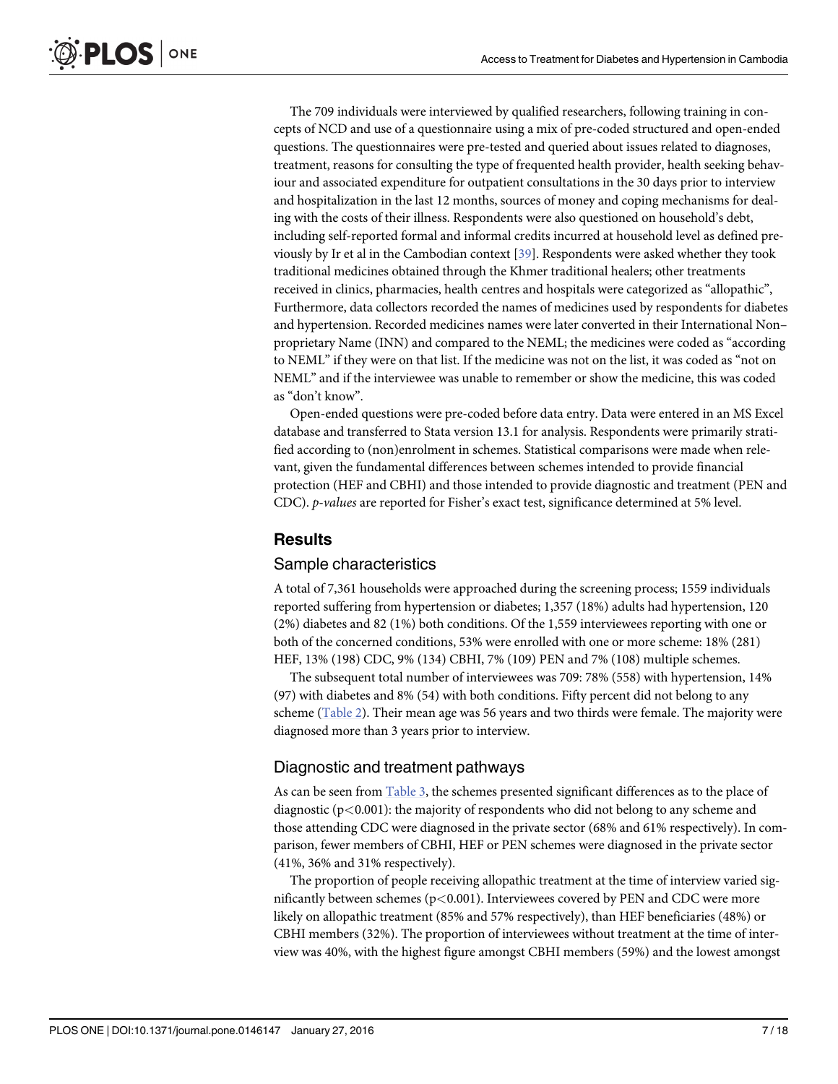<span id="page-6-0"></span>The 709 individuals were interviewed by qualified researchers, following training in concepts of NCD and use of a questionnaire using a mix of pre-coded structured and open-ended questions. The questionnaires were pre-tested and queried about issues related to diagnoses, treatment, reasons for consulting the type of frequented health provider, health seeking behaviour and associated expenditure for outpatient consultations in the 30 days prior to interview and hospitalization in the last 12 months, sources of money and coping mechanisms for dealing with the costs of their illness. Respondents were also questioned on household's debt, including self-reported formal and informal credits incurred at household level as defined previously by Ir et al in the Cambodian context [[39](#page-16-0)]. Respondents were asked whether they took traditional medicines obtained through the Khmer traditional healers; other treatments received in clinics, pharmacies, health centres and hospitals were categorized as "allopathic", Furthermore, data collectors recorded the names of medicines used by respondents for diabetes and hypertension. Recorded medicines names were later converted in their International Non– proprietary Name (INN) and compared to the NEML; the medicines were coded as "according to NEML" if they were on that list. If the medicine was not on the list, it was coded as "not on NEML" and if the interviewee was unable to remember or show the medicine, this was coded as "don't know".

Open-ended questions were pre-coded before data entry. Data were entered in an MS Excel database and transferred to Stata version 13.1 for analysis. Respondents were primarily stratified according to (non)enrolment in schemes. Statistical comparisons were made when relevant, given the fundamental differences between schemes intended to provide financial protection (HEF and CBHI) and those intended to provide diagnostic and treatment (PEN and CDC). p-values are reported for Fisher's exact test, significance determined at 5% level.

## **Results**

## Sample characteristics

A total of 7,361 households were approached during the screening process; 1559 individuals reported suffering from hypertension or diabetes; 1,357 (18%) adults had hypertension, 120 (2%) diabetes and 82 (1%) both conditions. Of the 1,559 interviewees reporting with one or both of the concerned conditions, 53% were enrolled with one or more scheme: 18% (281) HEF, 13% (198) CDC, 9% (134) CBHI, 7% (109) PEN and 7% (108) multiple schemes.

The subsequent total number of interviewees was 709: 78% (558) with hypertension, 14% (97) with diabetes and 8% (54) with both conditions. Fifty percent did not belong to any scheme [\(Table 2](#page-7-0)). Their mean age was 56 years and two thirds were female. The majority were diagnosed more than 3 years prior to interview.

## Diagnostic and treatment pathways

As can be seen from [Table 3](#page-7-0), the schemes presented significant differences as to the place of diagnostic  $(p<0.001)$ : the majority of respondents who did not belong to any scheme and those attending CDC were diagnosed in the private sector (68% and 61% respectively). In comparison, fewer members of CBHI, HEF or PEN schemes were diagnosed in the private sector (41%, 36% and 31% respectively).

The proportion of people receiving allopathic treatment at the time of interview varied significantly between schemes ( $p<0.001$ ). Interviewees covered by PEN and CDC were more likely on allopathic treatment (85% and 57% respectively), than HEF beneficiaries (48%) or CBHI members (32%). The proportion of interviewees without treatment at the time of interview was 40%, with the highest figure amongst CBHI members (59%) and the lowest amongst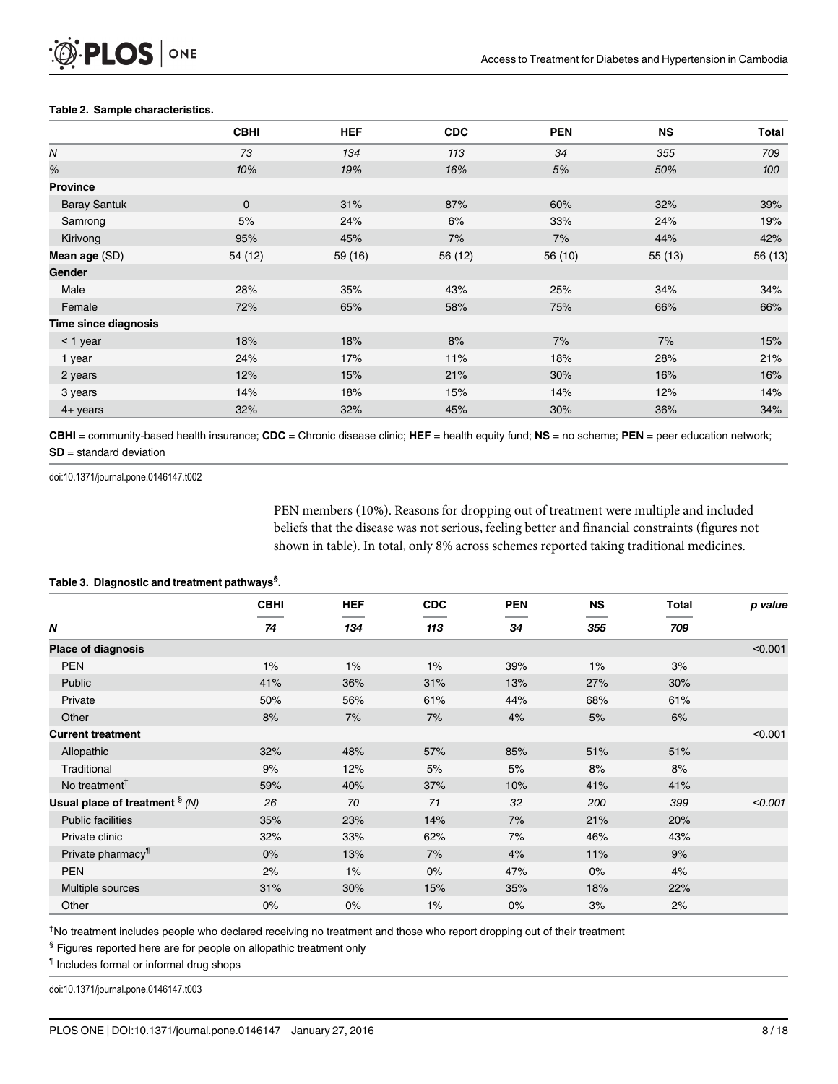|                      | <b>CBHI</b>  | <b>HEF</b> | <b>CDC</b> | <b>PEN</b> | <b>NS</b> | <b>Total</b> |
|----------------------|--------------|------------|------------|------------|-----------|--------------|
| Ν                    | 73           | 134        | 113        | 34         | 355       | 709          |
| $\%$                 | 10%          | 19%        | 16%        | 5%         | 50%       | 100          |
| <b>Province</b>      |              |            |            |            |           |              |
| <b>Baray Santuk</b>  | $\mathbf{0}$ | 31%        | 87%        | 60%        | 32%       | 39%          |
| Samrong              | 5%           | 24%        | 6%         | 33%        | 24%       | 19%          |
| Kirivong             | 95%          | 45%        | 7%         | 7%         | 44%       | 42%          |
| Mean age (SD)        | 54 (12)      | 59 (16)    | 56 (12)    | 56 (10)    | 55(13)    | 56 (13)      |
| Gender               |              |            |            |            |           |              |
| Male                 | 28%          | 35%        | 43%        | 25%        | 34%       | 34%          |
| Female               | 72%          | 65%        | 58%        | 75%        | 66%       | 66%          |
| Time since diagnosis |              |            |            |            |           |              |
| < 1 year             | 18%          | 18%        | 8%         | 7%         | 7%        | 15%          |
| 1 year               | 24%          | 17%        | 11%        | 18%        | 28%       | 21%          |
| 2 years              | 12%          | 15%        | 21%        | 30%        | 16%       | 16%          |
| 3 years              | 14%          | 18%        | 15%        | 14%        | 12%       | 14%          |
| $4 + \gamma$ ears    | 32%          | 32%        | 45%        | 30%        | 36%       | 34%          |

#### <span id="page-7-0"></span>[Table 2.](#page-6-0) Sample characteristics.

CBHI = community-based health insurance; CDC = Chronic disease clinic; HEF = health equity fund; NS = no scheme; PEN = peer education network;  $SD =$  standard deviation

doi:10.1371/journal.pone.0146147.t002

PEN members (10%). Reasons for dropping out of treatment were multiple and included beliefs that the disease was not serious, feeling better and financial constraints (figures not shown in table). In total, only 8% across schemes reported taking traditional medicines.

|                                            | <b>CBHI</b> | <b>HEF</b> | <b>CDC</b> | <b>PEN</b> | <b>NS</b> | <b>Total</b> | p value |
|--------------------------------------------|-------------|------------|------------|------------|-----------|--------------|---------|
| N                                          | 74          | 134        | 113        | 34         | 355       | 709          |         |
| <b>Place of diagnosis</b>                  |             |            |            |            |           |              | < 0.001 |
| <b>PEN</b>                                 | $1\%$       | 1%         | 1%         | 39%        | $1\%$     | 3%           |         |
| Public                                     | 41%         | 36%        | 31%        | 13%        | 27%       | 30%          |         |
| Private                                    | 50%         | 56%        | 61%        | 44%        | 68%       | 61%          |         |
| Other                                      | 8%          | 7%         | 7%         | 4%         | 5%        | 6%           |         |
| <b>Current treatment</b>                   |             |            |            |            |           |              | < 0.001 |
| Allopathic                                 | 32%         | 48%        | 57%        | 85%        | 51%       | 51%          |         |
| Traditional                                | 9%          | 12%        | 5%         | 5%         | 8%        | 8%           |         |
| No treatment <sup>†</sup>                  | 59%         | 40%        | 37%        | 10%        | 41%       | 41%          |         |
| Usual place of treatment $\frac{8}{3}$ (N) | 26          | 70         | 71         | 32         | 200       | 399          | < 0.001 |
| <b>Public facilities</b>                   | 35%         | 23%        | 14%        | 7%         | 21%       | 20%          |         |
| Private clinic                             | 32%         | 33%        | 62%        | 7%         | 46%       | 43%          |         |
| Private pharmacy <sup>11</sup>             | $0\%$       | 13%        | 7%         | 4%         | 11%       | 9%           |         |
| <b>PEN</b>                                 | 2%          | 1%         | $0\%$      | 47%        | $0\%$     | 4%           |         |
| Multiple sources                           | 31%         | 30%        | 15%        | 35%        | 18%       | 22%          |         |
| Other                                      | $0\%$       | $0\%$      | $1\%$      | $0\%$      | 3%        | 2%           |         |

#### [Table 3.](#page-6-0) Diagnostic and treatment pathways<sup>§</sup>.

† No treatment includes people who declared receiving no treatment and those who report dropping out of their treatment

§ Figures reported here are for people on allopathic treatment only

¶ Includes formal or informal drug shops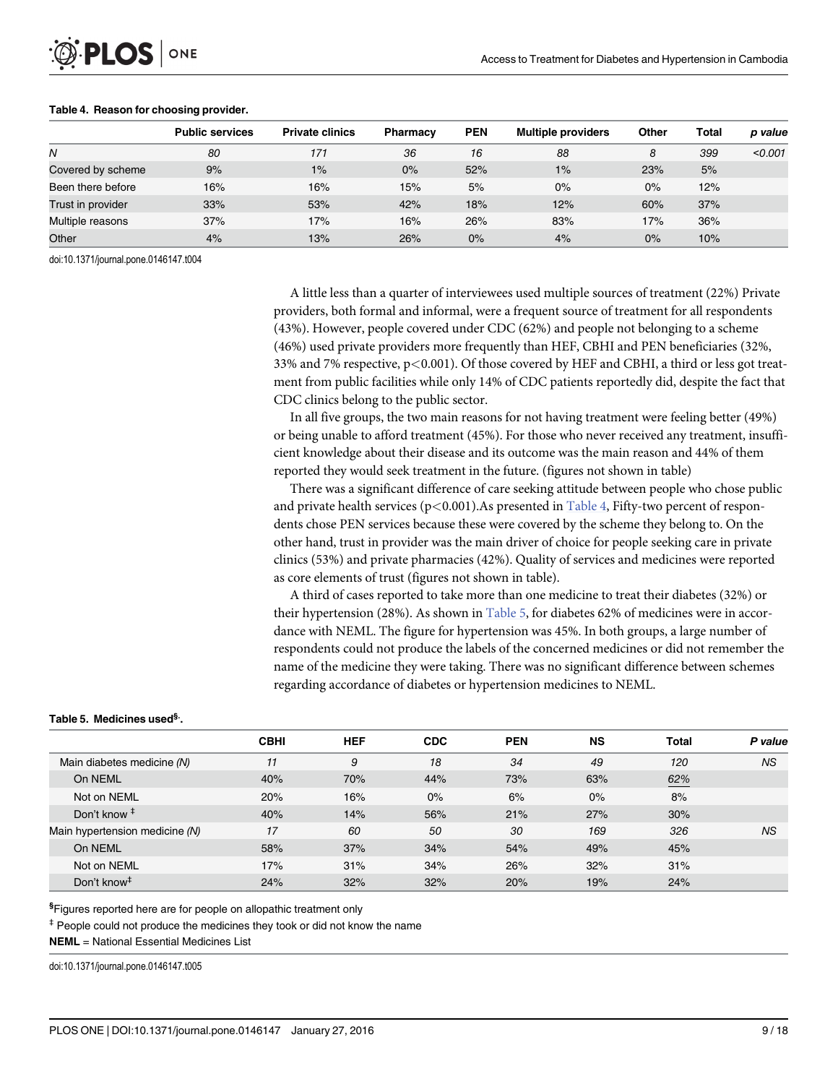

#### Table 4. Reason for choosing provider.

|                   | <b>Public services</b> | <b>Private clinics</b> | <b>Pharmacy</b> | <b>PEN</b> | <b>Multiple providers</b> | Other | Total | p value |
|-------------------|------------------------|------------------------|-----------------|------------|---------------------------|-------|-------|---------|
| N                 | 80                     | 171                    | 36              | 16         | 88                        | 8     | 399   | < 0.001 |
| Covered by scheme | 9%                     | 1%                     | $0\%$           | 52%        | 1%                        | 23%   | 5%    |         |
| Been there before | 16%                    | 16%                    | 15%             | 5%         | $0\%$                     | $0\%$ | 12%   |         |
| Trust in provider | 33%                    | 53%                    | 42%             | 18%        | 12%                       | 60%   | 37%   |         |
| Multiple reasons  | 37%                    | 17%                    | 16%             | 26%        | 83%                       | 17%   | 36%   |         |
| Other             | 4%                     | 13%                    | 26%             | 0%         | 4%                        | 0%    | 10%   |         |

doi:10.1371/journal.pone.0146147.t004

A little less than a quarter of interviewees used multiple sources of treatment (22%) Private providers, both formal and informal, were a frequent source of treatment for all respondents (43%). However, people covered under CDC (62%) and people not belonging to a scheme (46%) used private providers more frequently than HEF, CBHI and PEN beneficiaries (32%, 33% and 7% respective,  $p < 0.001$ ). Of those covered by HEF and CBHI, a third or less got treatment from public facilities while only 14% of CDC patients reportedly did, despite the fact that CDC clinics belong to the public sector.

In all five groups, the two main reasons for not having treatment were feeling better (49%) or being unable to afford treatment (45%). For those who never received any treatment, insufficient knowledge about their disease and its outcome was the main reason and 44% of them reported they would seek treatment in the future. (figures not shown in table)

There was a significant difference of care seeking attitude between people who chose public and private health services ( $p<0.001$ ). As presented in Table 4, Fifty-two percent of respondents chose PEN services because these were covered by the scheme they belong to. On the other hand, trust in provider was the main driver of choice for people seeking care in private clinics (53%) and private pharmacies (42%). Quality of services and medicines were reported as core elements of trust (figures not shown in table).

A third of cases reported to take more than one medicine to treat their diabetes (32%) or their hypertension (28%). As shown in Table 5, for diabetes 62% of medicines were in accordance with NEML. The figure for hypertension was 45%. In both groups, a large number of respondents could not produce the labels of the concerned medicines or did not remember the name of the medicine they were taking. There was no significant difference between schemes regarding accordance of diabetes or hypertension medicines to NEML.

#### Table 5. Medicines used<sup>§.</sup>.

|                                             | <b>CBHI</b> | <b>HEF</b> | <b>CDC</b> | <b>PEN</b> | <b>NS</b> | Total | P value   |
|---------------------------------------------|-------------|------------|------------|------------|-----------|-------|-----------|
| Main diabetes medicine (N)                  | 11          | 9          | 18         | 34         | 49        | 120   | <b>NS</b> |
| On NEML                                     | 40%         | 70%        | 44%        | 73%        | 63%       | 62%   |           |
| Not on NEML                                 | 20%         | 16%        | 0%         | 6%         | $0\%$     | 8%    |           |
| Don't know $‡$                              | 40%         | 14%        | 56%        | 21%        | 27%       | 30%   |           |
| Main hypertension medicine (N)              | 17          | 60         | 50         | 30         | 169       | 326   | <b>NS</b> |
| On NEML                                     | 58%         | 37%        | 34%        | 54%        | 49%       | 45%   |           |
| Not on NEML                                 | 17%         | 31%        | 34%        | 26%        | 32%       | 31%   |           |
| Don't know <sup><math>\ddagger</math></sup> | 24%         | 32%        | 32%        | 20%        | 19%       | 24%   |           |

§ Figures reported here are for people on allopathic treatment only

‡ People could not produce the medicines they took or did not know the name

NEML = National Essential Medicines List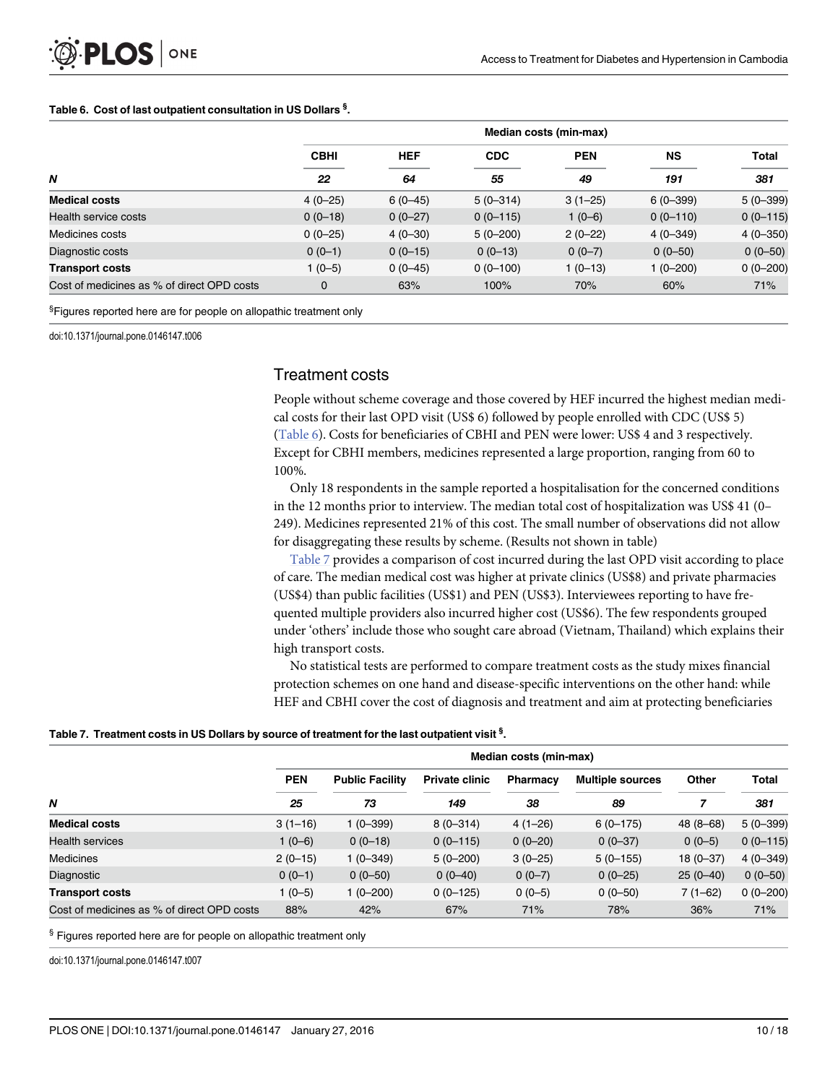#### Table 6. Cost of last outpatient consultation in US Dollars §.

|                                            | Median costs (min-max) |            |            |            |            |              |  |  |
|--------------------------------------------|------------------------|------------|------------|------------|------------|--------------|--|--|
|                                            | <b>CBHI</b>            | <b>HEF</b> | <b>CDC</b> | <b>PEN</b> | <b>NS</b>  | <b>Total</b> |  |  |
| N                                          | 22                     | 64         | 55         | 49         | 191        | 381          |  |  |
| <b>Medical costs</b>                       | $4(0-25)$              | $6(0-45)$  | $5(0-314)$ | $3(1-25)$  | $6(0-399)$ | $5(0-399)$   |  |  |
| Health service costs                       | $0(0-18)$              | $0(0-27)$  | $0(0-115)$ | $1(0-6)$   | $0(0-110)$ | $0(0-115)$   |  |  |
| Medicines costs                            | $0(0-25)$              | $4(0-30)$  | $5(0-200)$ | $2(0-22)$  | $4(0-349)$ | $4(0 - 350)$ |  |  |
| Diagnostic costs                           | $0(0-1)$               | $0(0-15)$  | $0(0-13)$  | $0(0-7)$   | $0(0-50)$  | $0(0-50)$    |  |  |
| <b>Transport costs</b>                     | $1(0-5)$               | $0(0-45)$  | $0(0-100)$ | $1(0-13)$  | $1(0-200)$ | $0(0 - 200)$ |  |  |
| Cost of medicines as % of direct OPD costs | 0                      | 63%        | 100%       | 70%        | 60%        | 71%          |  |  |

§ Figures reported here are for people on allopathic treatment only

doi:10.1371/journal.pone.0146147.t006

## Treatment costs

People without scheme coverage and those covered by HEF incurred the highest median medical costs for their last OPD visit (US\$ 6) followed by people enrolled with CDC (US\$ 5) (Table 6). Costs for beneficiaries of CBHI and PEN were lower: US\$ 4 and 3 respectively. Except for CBHI members, medicines represented a large proportion, ranging from 60 to 100%.

Only 18 respondents in the sample reported a hospitalisation for the concerned conditions in the 12 months prior to interview. The median total cost of hospitalization was US\$ 41 (0– 249). Medicines represented 21% of this cost. The small number of observations did not allow for disaggregating these results by scheme. (Results not shown in table)

Table 7 provides a comparison of cost incurred during the last OPD visit according to place of care. The median medical cost was higher at private clinics (US\$8) and private pharmacies (US\$4) than public facilities (US\$1) and PEN (US\$3). Interviewees reporting to have frequented multiple providers also incurred higher cost (US\$6). The few respondents grouped under 'others' include those who sought care abroad (Vietnam, Thailand) which explains their high transport costs.

No statistical tests are performed to compare treatment costs as the study mixes financial protection schemes on one hand and disease-specific interventions on the other hand: while HEF and CBHI cover the cost of diagnosis and treatment and aim at protecting beneficiaries

#### Table 7. Treatment costs in US Dollars by source of treatment for the last outpatient visit  $§$ .

|                                            | Median costs (min-max) |                        |                       |           |                         |              |              |  |
|--------------------------------------------|------------------------|------------------------|-----------------------|-----------|-------------------------|--------------|--------------|--|
|                                            | <b>PEN</b>             | <b>Public Facility</b> | <b>Private clinic</b> | Pharmacy  | <b>Multiple sources</b> | Other        | <b>Total</b> |  |
| N                                          | 25                     | 73                     | 149                   | 38        | 89                      |              | 381          |  |
| <b>Medical costs</b>                       | $3(1-16)$              | $(0 - 399)$            | $8(0-314)$            | $4(1-26)$ | $6(0-175)$              | $48(8 - 68)$ | $5(0-399)$   |  |
| <b>Health services</b>                     | $1(0-6)$               | $0(0-18)$              | $0(0-115)$            | $0(0-20)$ | $0(0-37)$               | $0(0-5)$     | $0(0-115)$   |  |
| Medicines                                  | $2(0-15)$              | 1 (0–349)              | $5(0-200)$            | $3(0-25)$ | $5(0-155)$              | $18(0 - 37)$ | $4(0 - 349)$ |  |
| Diagnostic                                 | $0(0-1)$               | $0(0-50)$              | $0(0-40)$             | $0(0-7)$  | $0(0-25)$               | $25(0-40)$   | $0(0-50)$    |  |
| <b>Transport costs</b>                     | $1(0-5)$               | $1(0-200)$             | $0(0-125)$            | $0(0-5)$  | $0(0-50)$               | $7(1-62)$    | $0(0-200)$   |  |
| Cost of medicines as % of direct OPD costs | 88%                    | 42%                    | 67%                   | 71%       | 78%                     | 36%          | 71%          |  |

§ Figures reported here are for people on allopathic treatment only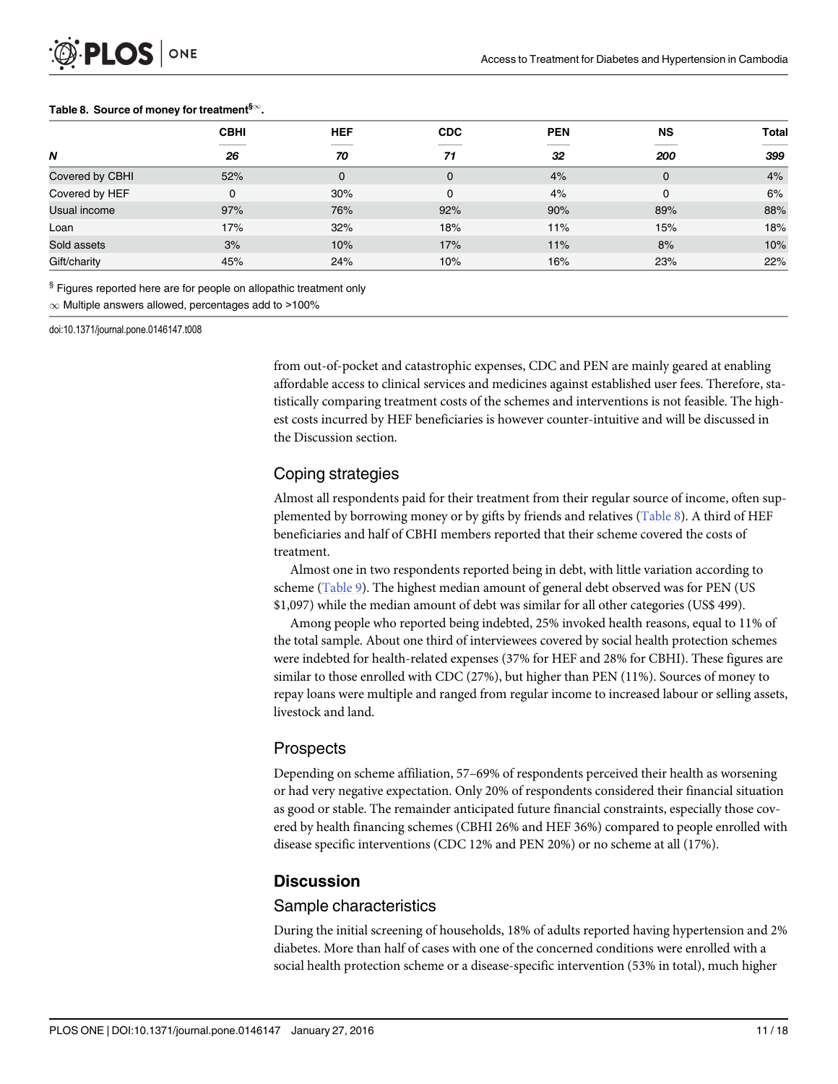|                 | <b>CBHI</b>                             | <b>HEF</b>  | <b>CDC</b> | <b>PEN</b> | <b>NS</b>   | Total |
|-----------------|-----------------------------------------|-------------|------------|------------|-------------|-------|
| N               | <b>Contract Contract Contract</b><br>26 | 70          | ___<br>71  | 32         | 200         | 399   |
| Covered by CBHI | 52%                                     | $\mathbf 0$ | 0          | 4%         | $\mathbf 0$ | 4%    |
| Covered by HEF  | 0                                       | 30%         | 0          | 4%         | $\mathbf 0$ | 6%    |
| Usual income    | 97%                                     | 76%         | 92%        | 90%        | 89%         | 88%   |
| Loan            | 17%                                     | 32%         | 18%        | 11%        | 15%         | 18%   |
| Sold assets     | 3%                                      | 10%         | 17%        | 11%        | 8%          | 10%   |
| Gift/charity    | 45%                                     | 24%         | 10%        | 16%        | 23%         | 22%   |

#### <span id="page-10-0"></span>Table 8. Source of money for treatment<sup>§ $\infty$ </sup>.

§ Figures reported here are for people on allopathic treatment only

 $\infty$  Multiple answers allowed, percentages add to >100%

doi:10.1371/journal.pone.0146147.t008

from out-of-pocket and catastrophic expenses, CDC and PEN are mainly geared at enabling affordable access to clinical services and medicines against established user fees. Therefore, statistically comparing treatment costs of the schemes and interventions is not feasible. The highest costs incurred by HEF beneficiaries is however counter-intuitive and will be discussed in the Discussion section.

## Coping strategies

Almost all respondents paid for their treatment from their regular source of income, often supplemented by borrowing money or by gifts by friends and relatives (Table 8). A third of HEF beneficiaries and half of CBHI members reported that their scheme covered the costs of treatment.

Almost one in two respondents reported being in debt, with little variation according to scheme [\(Table 9](#page-11-0)). The highest median amount of general debt observed was for PEN (US \$1,097) while the median amount of debt was similar for all other categories (US\$ 499).

Among people who reported being indebted, 25% invoked health reasons, equal to 11% of the total sample. About one third of interviewees covered by social health protection schemes were indebted for health-related expenses (37% for HEF and 28% for CBHI). These figures are similar to those enrolled with CDC (27%), but higher than PEN (11%). Sources of money to repay loans were multiple and ranged from regular income to increased labour or selling assets, livestock and land.

## **Prospects**

Depending on scheme affiliation, 57–69% of respondents perceived their health as worsening or had very negative expectation. Only 20% of respondents considered their financial situation as good or stable. The remainder anticipated future financial constraints, especially those covered by health financing schemes (CBHI 26% and HEF 36%) compared to people enrolled with disease specific interventions (CDC 12% and PEN 20%) or no scheme at all (17%).

## **Discussion**

## Sample characteristics

During the initial screening of households, 18% of adults reported having hypertension and 2% diabetes. More than half of cases with one of the concerned conditions were enrolled with a social health protection scheme or a disease-specific intervention (53% in total), much higher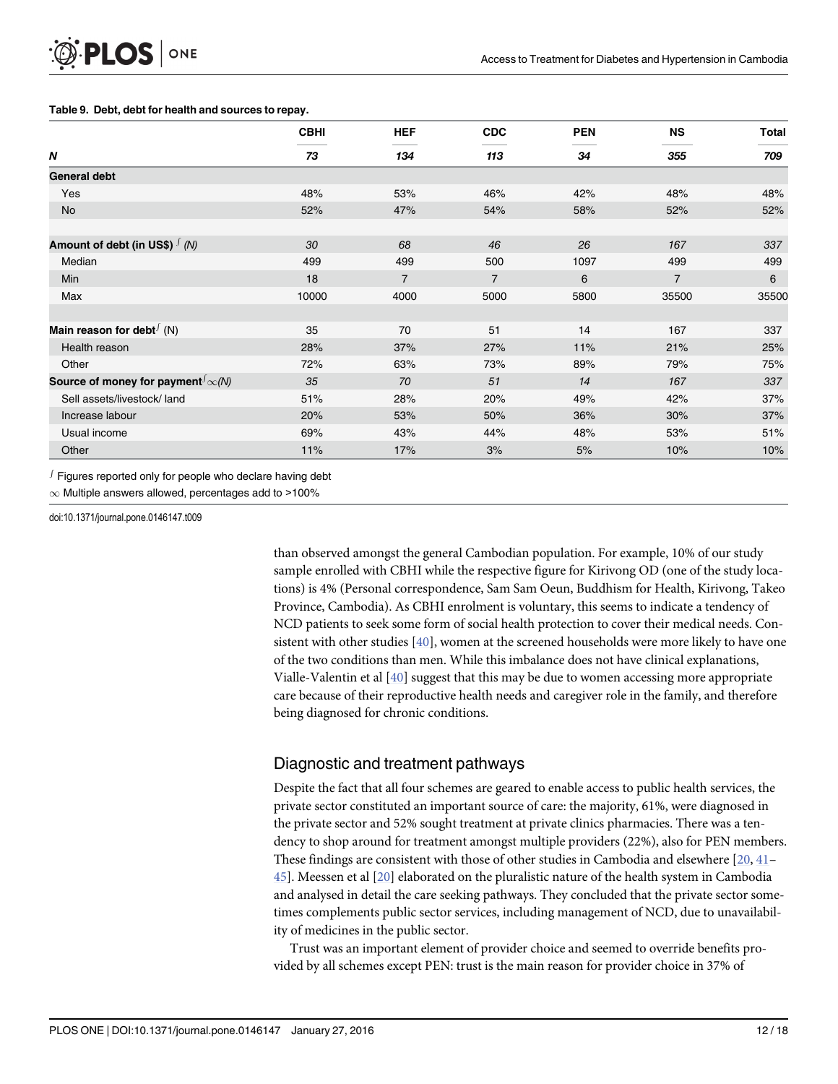#### <span id="page-11-0"></span>[Table 9.](#page-10-0) Debt, debt for health and sources to repay.

|                                                       | <b>CBHI</b> | <b>HEF</b>     | <b>CDC</b>     | <b>PEN</b> | <b>NS</b>      | <b>Total</b> |
|-------------------------------------------------------|-------------|----------------|----------------|------------|----------------|--------------|
| N                                                     | 73          | 134            | 113            | 34         | 355            | 709          |
| <b>General debt</b>                                   |             |                |                |            |                |              |
| Yes                                                   | 48%         | 53%            | 46%            | 42%        | 48%            | 48%          |
| <b>No</b>                                             | 52%         | 47%            | 54%            | 58%        | 52%            | 52%          |
|                                                       |             |                |                |            |                |              |
| Amount of debt (in US\$) $\sqrt{N}$                   | 30          | 68             | 46             | 26         | 167            | 337          |
| Median                                                | 499         | 499            | 500            | 1097       | 499            | 499          |
| <b>Min</b>                                            | 18          | $\overline{7}$ | $\overline{7}$ | 6          | $\overline{7}$ | 6            |
| Max                                                   | 10000       | 4000           | 5000           | 5800       | 35500          | 35500        |
|                                                       |             |                |                |            |                |              |
| Main reason for debt <sup><math>\int</math></sup> (N) | 35          | 70             | 51             | 14         | 167            | 337          |
| Health reason                                         | 28%         | 37%            | 27%            | 11%        | 21%            | 25%          |
| Other                                                 | 72%         | 63%            | 73%            | 89%        | 79%            | 75%          |
| Source of money for payment $\log(N)$                 | 35          | 70             | 51             | 14         | 167            | 337          |
| Sell assets/livestock/ land                           | 51%         | 28%            | 20%            | 49%        | 42%            | 37%          |
| Increase labour                                       | 20%         | 53%            | 50%            | 36%        | 30%            | 37%          |
| Usual income                                          | 69%         | 43%            | 44%            | 48%        | 53%            | 51%          |
| Other                                                 | 11%         | 17%            | 3%             | 5%         | 10%            | 10%          |

 $\sqrt{F}$  Figures reported only for people who declare having debt

 $\infty$  Multiple answers allowed, percentages add to >100%

doi:10.1371/journal.pone.0146147.t009

than observed amongst the general Cambodian population. For example, 10% of our study sample enrolled with CBHI while the respective figure for Kirivong OD (one of the study locations) is 4% (Personal correspondence, Sam Sam Oeun, Buddhism for Health, Kirivong, Takeo Province, Cambodia). As CBHI enrolment is voluntary, this seems to indicate a tendency of NCD patients to seek some form of social health protection to cover their medical needs. Consistent with other studies [\[40\]](#page-16-0), women at the screened households were more likely to have one of the two conditions than men. While this imbalance does not have clinical explanations, Vialle-Valentin et al [\[40\]](#page-16-0) suggest that this may be due to women accessing more appropriate care because of their reproductive health needs and caregiver role in the family, and therefore being diagnosed for chronic conditions.

## Diagnostic and treatment pathways

Despite the fact that all four schemes are geared to enable access to public health services, the private sector constituted an important source of care: the majority, 61%, were diagnosed in the private sector and 52% sought treatment at private clinics pharmacies. There was a tendency to shop around for treatment amongst multiple providers (22%), also for PEN members. These findings are consistent with those of other studies in Cambodia and elsewhere  $[20, 41]$  $[20, 41]$  $[20, 41]$  $[20, 41]$  $[20, 41]$ [45\]](#page-16-0). Meessen et al [[20](#page-15-0)] elaborated on the pluralistic nature of the health system in Cambodia and analysed in detail the care seeking pathways. They concluded that the private sector sometimes complements public sector services, including management of NCD, due to unavailability of medicines in the public sector.

Trust was an important element of provider choice and seemed to override benefits provided by all schemes except PEN: trust is the main reason for provider choice in 37% of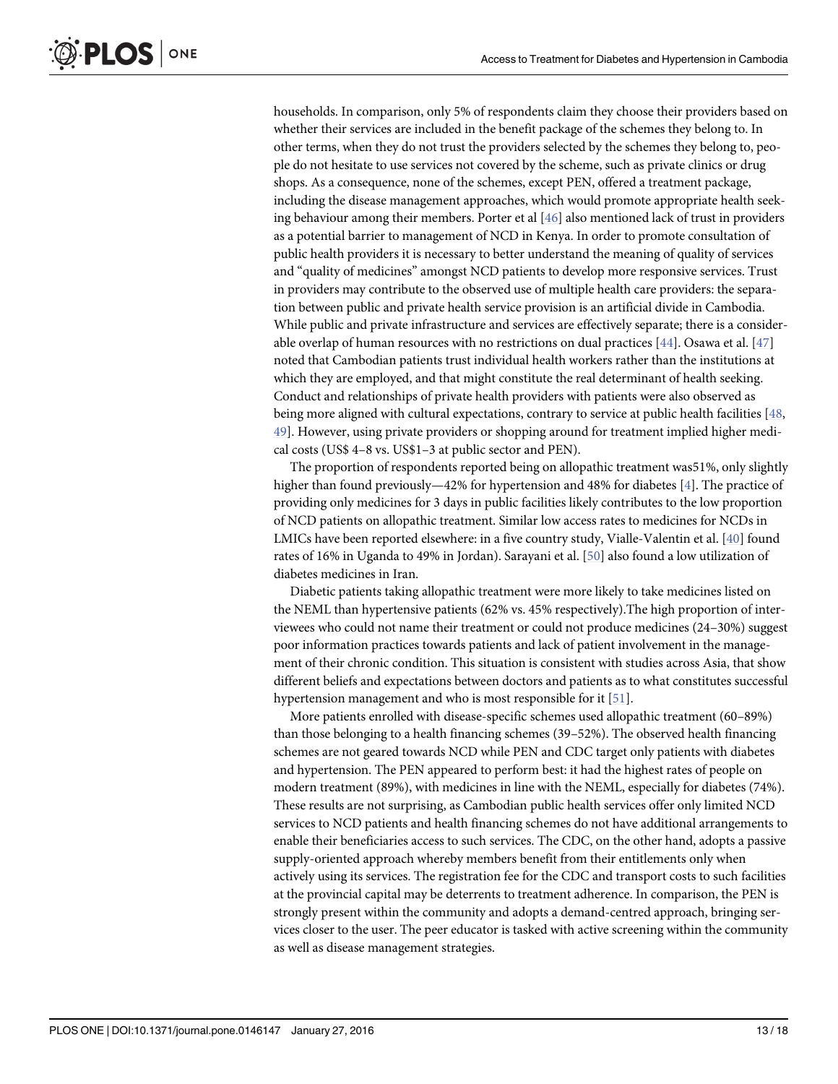<span id="page-12-0"></span>households. In comparison, only 5% of respondents claim they choose their providers based on whether their services are included in the benefit package of the schemes they belong to. In other terms, when they do not trust the providers selected by the schemes they belong to, people do not hesitate to use services not covered by the scheme, such as private clinics or drug shops. As a consequence, none of the schemes, except PEN, offered a treatment package, including the disease management approaches, which would promote appropriate health seeking behaviour among their members. Porter et al [\[46\]](#page-16-0) also mentioned lack of trust in providers as a potential barrier to management of NCD in Kenya. In order to promote consultation of public health providers it is necessary to better understand the meaning of quality of services and "quality of medicines" amongst NCD patients to develop more responsive services. Trust in providers may contribute to the observed use of multiple health care providers: the separation between public and private health service provision is an artificial divide in Cambodia. While public and private infrastructure and services are effectively separate; there is a considerable overlap of human resources with no restrictions on dual practices [\[44](#page-16-0)]. Osawa et al. [[47](#page-16-0)] noted that Cambodian patients trust individual health workers rather than the institutions at which they are employed, and that might constitute the real determinant of health seeking. Conduct and relationships of private health providers with patients were also observed as being more aligned with cultural expectations, contrary to service at public health facilities [\[48,](#page-16-0) [49\]](#page-16-0). However, using private providers or shopping around for treatment implied higher medical costs (US\$ 4–8 vs. US\$1–3 at public sector and PEN).

The proportion of respondents reported being on allopathic treatment was51%, only slightly higher than found previously—42% for hypertension and 48% for diabetes [\[4\]](#page-14-0). The practice of providing only medicines for 3 days in public facilities likely contributes to the low proportion of NCD patients on allopathic treatment. Similar low access rates to medicines for NCDs in LMICs have been reported elsewhere: in a five country study, Vialle-Valentin et al. [[40\]](#page-16-0) found rates of 16% in Uganda to 49% in Jordan). Sarayani et al. [\[50\]](#page-16-0) also found a low utilization of diabetes medicines in Iran.

Diabetic patients taking allopathic treatment were more likely to take medicines listed on the NEML than hypertensive patients (62% vs. 45% respectively).The high proportion of interviewees who could not name their treatment or could not produce medicines (24–30%) suggest poor information practices towards patients and lack of patient involvement in the management of their chronic condition. This situation is consistent with studies across Asia, that show different beliefs and expectations between doctors and patients as to what constitutes successful hypertension management and who is most responsible for it [[51](#page-16-0)].

More patients enrolled with disease-specific schemes used allopathic treatment (60–89%) than those belonging to a health financing schemes (39–52%). The observed health financing schemes are not geared towards NCD while PEN and CDC target only patients with diabetes and hypertension. The PEN appeared to perform best: it had the highest rates of people on modern treatment (89%), with medicines in line with the NEML, especially for diabetes (74%). These results are not surprising, as Cambodian public health services offer only limited NCD services to NCD patients and health financing schemes do not have additional arrangements to enable their beneficiaries access to such services. The CDC, on the other hand, adopts a passive supply-oriented approach whereby members benefit from their entitlements only when actively using its services. The registration fee for the CDC and transport costs to such facilities at the provincial capital may be deterrents to treatment adherence. In comparison, the PEN is strongly present within the community and adopts a demand-centred approach, bringing services closer to the user. The peer educator is tasked with active screening within the community as well as disease management strategies.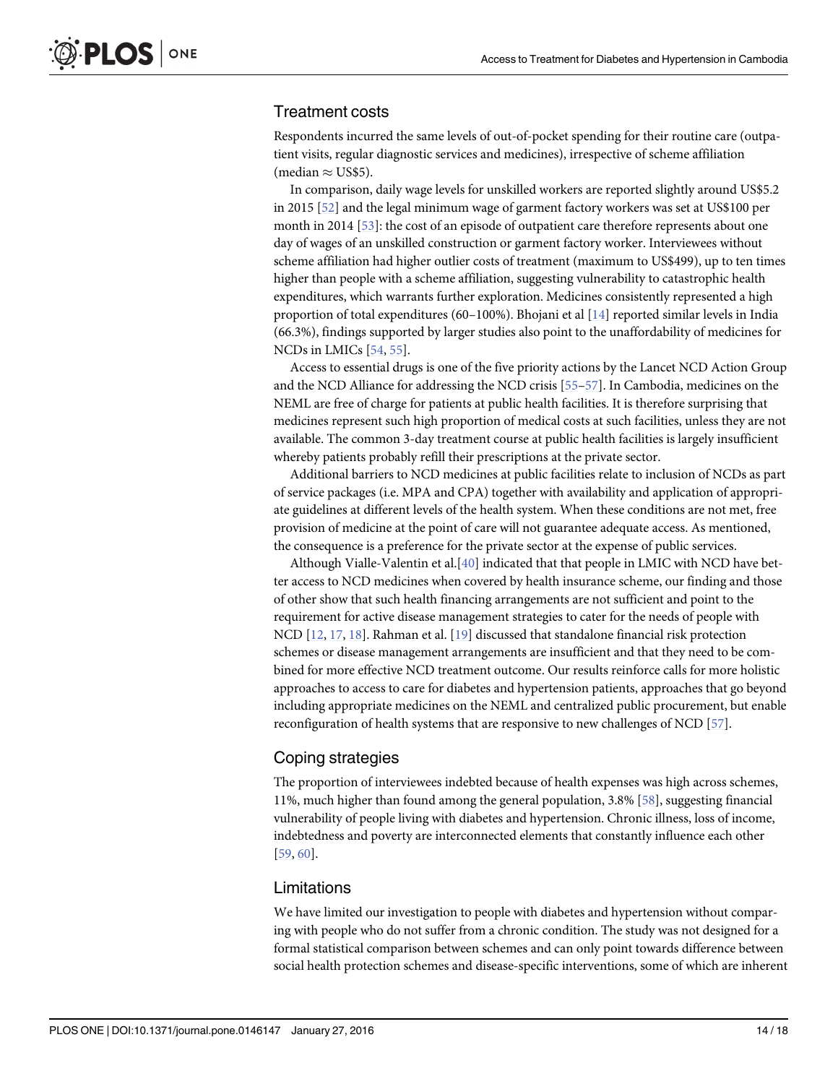## <span id="page-13-0"></span>Treatment costs

Respondents incurred the same levels of out-of-pocket spending for their routine care (outpatient visits, regular diagnostic services and medicines), irrespective of scheme affiliation (median  $\approx$  US\$5).

In comparison, daily wage levels for unskilled workers are reported slightly around US\$5.2 in 2015 [\[52\]](#page-17-0) and the legal minimum wage of garment factory workers was set at US\$100 per month in 2014 [\[53\]](#page-17-0): the cost of an episode of outpatient care therefore represents about one day of wages of an unskilled construction or garment factory worker. Interviewees without scheme affiliation had higher outlier costs of treatment (maximum to US\$499), up to ten times higher than people with a scheme affiliation, suggesting vulnerability to catastrophic health expenditures, which warrants further exploration. Medicines consistently represented a high proportion of total expenditures (60-100%). Bhojani et al [[14](#page-15-0)] reported similar levels in India (66.3%), findings supported by larger studies also point to the unaffordability of medicines for NCDs in LMICs [[54](#page-17-0), [55](#page-17-0)].

Access to essential drugs is one of the five priority actions by the Lancet NCD Action Group and the NCD Alliance for addressing the NCD crisis [[55](#page-17-0)–[57](#page-17-0)]. In Cambodia, medicines on the NEML are free of charge for patients at public health facilities. It is therefore surprising that medicines represent such high proportion of medical costs at such facilities, unless they are not available. The common 3-day treatment course at public health facilities is largely insufficient whereby patients probably refill their prescriptions at the private sector.

Additional barriers to NCD medicines at public facilities relate to inclusion of NCDs as part of service packages (i.e. MPA and CPA) together with availability and application of appropriate guidelines at different levels of the health system. When these conditions are not met, free provision of medicine at the point of care will not guarantee adequate access. As mentioned, the consequence is a preference for the private sector at the expense of public services.

Although Vialle-Valentin et al.  $[40]$  indicated that that people in LMIC with NCD have better access to NCD medicines when covered by health insurance scheme, our finding and those of other show that such health financing arrangements are not sufficient and point to the requirement for active disease management strategies to cater for the needs of people with NCD [[12,](#page-15-0) [17](#page-15-0), [18](#page-15-0)]. Rahman et al. [\[19\]](#page-15-0) discussed that standalone financial risk protection schemes or disease management arrangements are insufficient and that they need to be combined for more effective NCD treatment outcome. Our results reinforce calls for more holistic approaches to access to care for diabetes and hypertension patients, approaches that go beyond including appropriate medicines on the NEML and centralized public procurement, but enable reconfiguration of health systems that are responsive to new challenges of NCD [[57](#page-17-0)].

## Coping strategies

The proportion of interviewees indebted because of health expenses was high across schemes, 11%, much higher than found among the general population, 3.8% [\[58\]](#page-17-0), suggesting financial vulnerability of people living with diabetes and hypertension. Chronic illness, loss of income, indebtedness and poverty are interconnected elements that constantly influence each other [\[59](#page-17-0), [60\]](#page-17-0).

## Limitations

We have limited our investigation to people with diabetes and hypertension without comparing with people who do not suffer from a chronic condition. The study was not designed for a formal statistical comparison between schemes and can only point towards difference between social health protection schemes and disease-specific interventions, some of which are inherent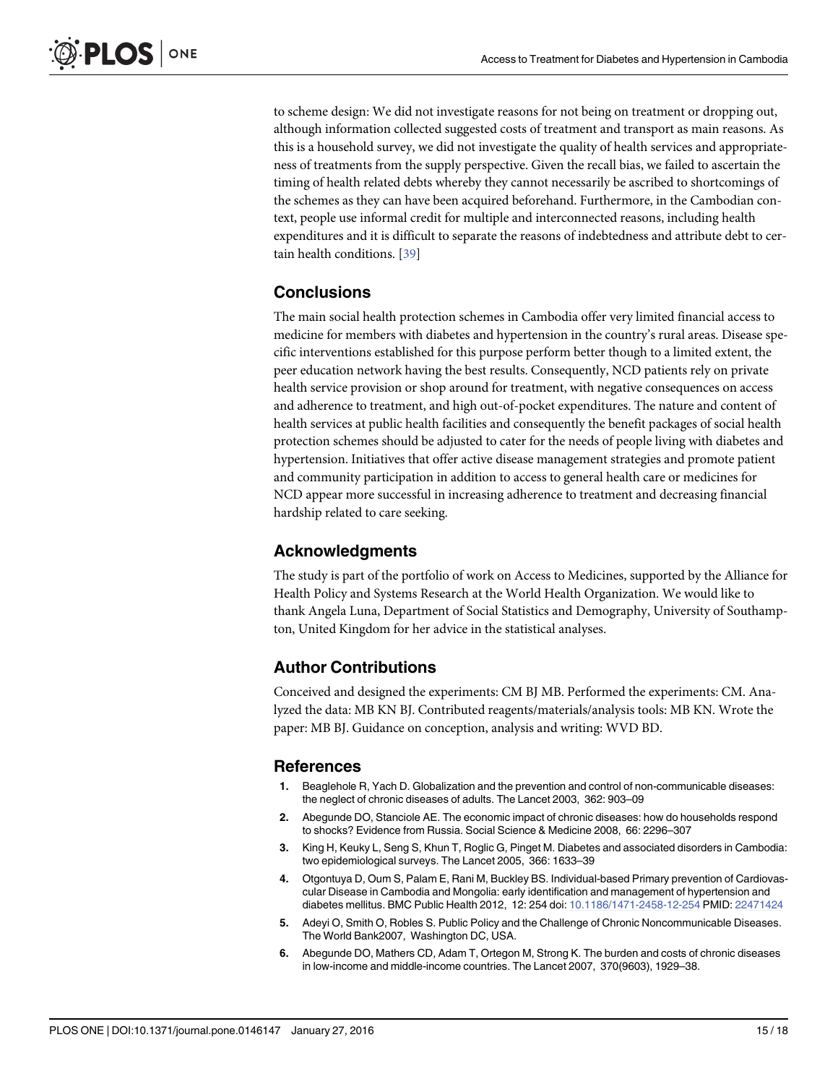<span id="page-14-0"></span>to scheme design: We did not investigate reasons for not being on treatment or dropping out, although information collected suggested costs of treatment and transport as main reasons. As this is a household survey, we did not investigate the quality of health services and appropriateness of treatments from the supply perspective. Given the recall bias, we failed to ascertain the timing of health related debts whereby they cannot necessarily be ascribed to shortcomings of the schemes as they can have been acquired beforehand. Furthermore, in the Cambodian context, people use informal credit for multiple and interconnected reasons, including health expenditures and it is difficult to separate the reasons of indebtedness and attribute debt to certain health conditions. [[39](#page-16-0)]

## **Conclusions**

The main social health protection schemes in Cambodia offer very limited financial access to medicine for members with diabetes and hypertension in the country's rural areas. Disease specific interventions established for this purpose perform better though to a limited extent, the peer education network having the best results. Consequently, NCD patients rely on private health service provision or shop around for treatment, with negative consequences on access and adherence to treatment, and high out-of-pocket expenditures. The nature and content of health services at public health facilities and consequently the benefit packages of social health protection schemes should be adjusted to cater for the needs of people living with diabetes and hypertension. Initiatives that offer active disease management strategies and promote patient and community participation in addition to access to general health care or medicines for NCD appear more successful in increasing adherence to treatment and decreasing financial hardship related to care seeking.

## Acknowledgments

The study is part of the portfolio of work on Access to Medicines, supported by the Alliance for Health Policy and Systems Research at the World Health Organization. We would like to thank Angela Luna, Department of Social Statistics and Demography, University of Southampton, United Kingdom for her advice in the statistical analyses.

## Author Contributions

Conceived and designed the experiments: CM BJ MB. Performed the experiments: CM. Analyzed the data: MB KN BJ. Contributed reagents/materials/analysis tools: MB KN. Wrote the paper: MB BJ. Guidance on conception, analysis and writing: WVD BD.

## References

- [1.](#page-1-0) Beaglehole R, Yach D. Globalization and the prevention and control of non-communicable diseases: the neglect of chronic diseases of adults. The Lancet 2003, 362: 903–09
- [2.](#page-1-0) Abegunde DO, Stanciole AE. The economic impact of chronic diseases: how do households respond to shocks? Evidence from Russia. Social Science & Medicine 2008, 66: 2296–307
- [3.](#page-1-0) King H, Keuky L, Seng S, Khun T, Roglic G, Pinget M. Diabetes and associated disorders in Cambodia: two epidemiological surveys. The Lancet 2005, 366: 1633–39
- [4.](#page-1-0) Otgontuya D, Oum S, Palam E, Rani M, Buckley BS. Individual-based Primary prevention of Cardiovascular Disease in Cambodia and Mongolia: early identification and management of hypertension and diabetes mellitus. BMC Public Health 2012, 12: 254 doi: [10.1186/1471-2458-12-254](http://dx.doi.org/10.1186/1471-2458-12-254) PMID: [22471424](http://www.ncbi.nlm.nih.gov/pubmed/22471424)
- [5.](#page-1-0) Adeyi O, Smith O, Robles S. Public Policy and the Challenge of Chronic Noncommunicable Diseases. The World Bank2007, Washington DC, USA.
- 6. Abegunde DO, Mathers CD, Adam T, Ortegon M, Strong K. The burden and costs of chronic diseases in low-income and middle-income countries. The Lancet 2007, 370(9603), 1929–38.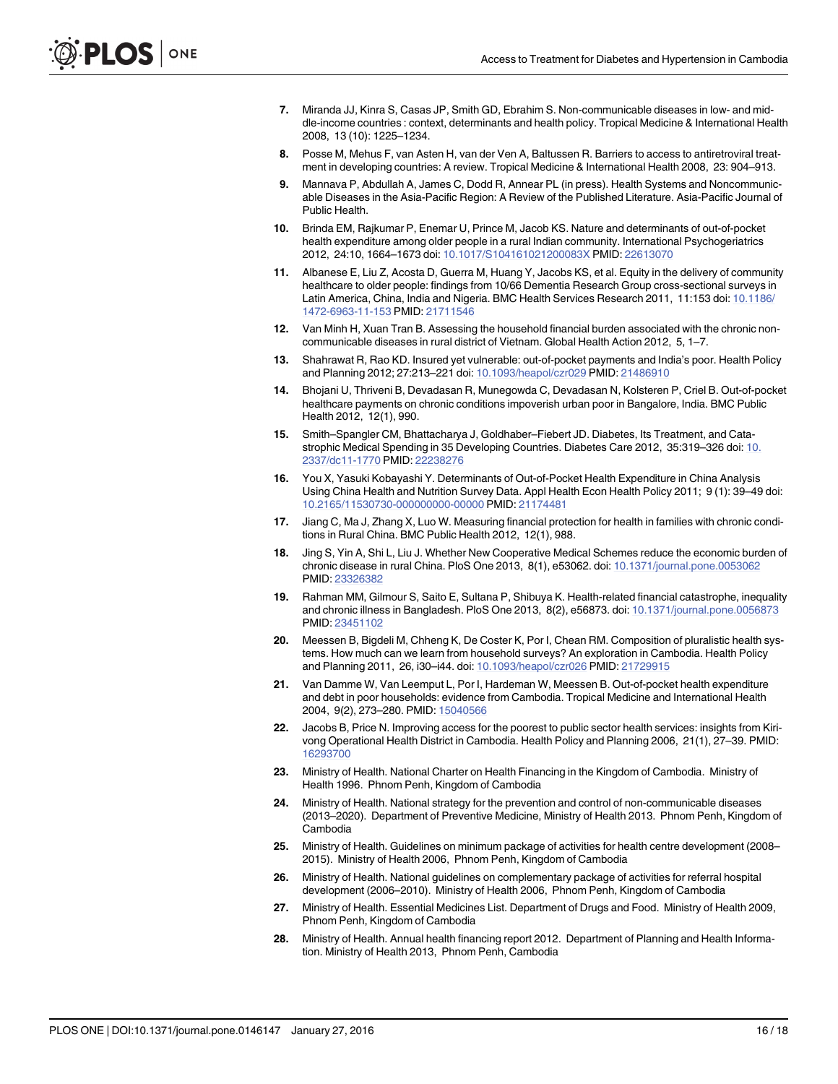- <span id="page-15-0"></span>7. Miranda JJ, Kinra S, Casas JP, Smith GD, Ebrahim S. Non-communicable diseases in low- and middle-income countries : context, determinants and health policy. Tropical Medicine & International Health 2008, 13 (10): 1225–1234.
- [8.](#page-1-0) Posse M, Mehus F, van Asten H, van der Ven A, Baltussen R. Barriers to access to antiretroviral treatment in developing countries: A review. Tropical Medicine & International Health 2008, 23: 904–913.
- [9.](#page-1-0) Mannava P, Abdullah A, James C, Dodd R, Annear PL (in press). Health Systems and Noncommunicable Diseases in the Asia-Pacific Region: A Review of the Published Literature. Asia-Pacific Journal of Public Health.
- [10.](#page-1-0) Brinda EM, Rajkumar P, Enemar U, Prince M, Jacob KS. Nature and determinants of out-of-pocket health expenditure among older people in a rural Indian community. International Psychogeriatrics 2012, 24:10, 1664–1673 doi: [10.1017/S104161021200083X](http://dx.doi.org/10.1017/S104161021200083X) PMID: [22613070](http://www.ncbi.nlm.nih.gov/pubmed/22613070)
- 11. Albanese E, Liu Z, Acosta D, Guerra M, Huang Y, Jacobs KS, et al. Equity in the delivery of community healthcare to older people: findings from 10/66 Dementia Research Group cross-sectional surveys in Latin America, China, India and Nigeria. BMC Health Services Research 2011, 11:153 doi: [10.1186/](http://dx.doi.org/10.1186/1472-6963-11-153) [1472-6963-11-153](http://dx.doi.org/10.1186/1472-6963-11-153) PMID: [21711546](http://www.ncbi.nlm.nih.gov/pubmed/21711546)
- [12.](#page-1-0) Van Minh H, Xuan Tran B. Assessing the household financial burden associated with the chronic noncommunicable diseases in rural district of Vietnam. Global Health Action 2012, 5, 1–7.
- [13.](#page-1-0) Shahrawat R, Rao KD. Insured yet vulnerable: out-of-pocket payments and India's poor. Health Policy and Planning 2012; 27:213–221 doi: [10.1093/heapol/czr029](http://dx.doi.org/10.1093/heapol/czr029) PMID: [21486910](http://www.ncbi.nlm.nih.gov/pubmed/21486910)
- [14.](#page-1-0) Bhojani U, Thriveni B, Devadasan R, Munegowda C, Devadasan N, Kolsteren P, Criel B. Out-of-pocket healthcare payments on chronic conditions impoverish urban poor in Bangalore, India. BMC Public Health 2012, 12(1), 990.
- [15.](#page-1-0) Smith–Spangler CM, Bhattacharya J, Goldhaber–Fiebert JD. Diabetes, Its Treatment, and Catastrophic Medical Spending in 35 Developing Countries. Diabetes Care 2012, 35:319–326 doi: [10.](http://dx.doi.org/10.2337/dc11-1770) [2337/dc11-1770](http://dx.doi.org/10.2337/dc11-1770) PMID: [22238276](http://www.ncbi.nlm.nih.gov/pubmed/22238276)
- [16.](#page-1-0) You X, Yasuki Kobayashi Y. Determinants of Out-of-Pocket Health Expenditure in China Analysis Using China Health and Nutrition Survey Data. Appl Health Econ Health Policy 2011; 9 (1): 39–49 doi: [10.2165/11530730-000000000-00000](http://dx.doi.org/10.2165/11530730-000000000-00000) PMID: [21174481](http://www.ncbi.nlm.nih.gov/pubmed/21174481)
- [17.](#page-1-0) Jiang C, Ma J, Zhang X, Luo W. Measuring financial protection for health in families with chronic conditions in Rural China. BMC Public Health 2012, 12(1), 988.
- [18.](#page-1-0) Jing S, Yin A, Shi L, Liu J. Whether New Cooperative Medical Schemes reduce the economic burden of chronic disease in rural China. PloS One 2013, 8(1), e53062. doi: [10.1371/journal.pone.0053062](http://dx.doi.org/10.1371/journal.pone.0053062) PMID: [23326382](http://www.ncbi.nlm.nih.gov/pubmed/23326382)
- [19.](#page-1-0) Rahman MM, Gilmour S, Saito E, Sultana P, Shibuya K. Health-related financial catastrophe, inequality and chronic illness in Bangladesh. PloS One 2013, 8(2), e56873. doi: [10.1371/journal.pone.0056873](http://dx.doi.org/10.1371/journal.pone.0056873) PMID: [23451102](http://www.ncbi.nlm.nih.gov/pubmed/23451102)
- [20.](#page-2-0) Meessen B, Bigdeli M, Chheng K, De Coster K, Por I, Chean RM. Composition of pluralistic health systems. How much can we learn from household surveys? An exploration in Cambodia. Health Policy and Planning 2011, 26, i30-i44. doi: [10.1093/heapol/czr026](http://dx.doi.org/10.1093/heapol/czr026) PMID: [21729915](http://www.ncbi.nlm.nih.gov/pubmed/21729915)
- [21.](#page-2-0) Van Damme W, Van Leemput L, Por I, Hardeman W, Meessen B. Out-of-pocket health expenditure and debt in poor households: evidence from Cambodia. Tropical Medicine and International Health 2004, 9(2), 273–280. PMID: [15040566](http://www.ncbi.nlm.nih.gov/pubmed/15040566)
- [22.](#page-2-0) Jacobs B, Price N. Improving access for the poorest to public sector health services: insights from Kirivong Operational Health District in Cambodia. Health Policy and Planning 2006, 21(1), 27–39. PMID: [16293700](http://www.ncbi.nlm.nih.gov/pubmed/16293700)
- [23.](#page-2-0) Ministry of Health. National Charter on Health Financing in the Kingdom of Cambodia. Ministry of Health 1996. Phnom Penh, Kingdom of Cambodia
- [24.](#page-2-0) Ministry of Health. National strategy for the prevention and control of non-communicable diseases (2013–2020). Department of Preventive Medicine, Ministry of Health 2013. Phnom Penh, Kingdom of **Cambodia**
- [25.](#page-2-0) Ministry of Health. Guidelines on minimum package of activities for health centre development (2008– 2015). Ministry of Health 2006, Phnom Penh, Kingdom of Cambodia
- [26.](#page-2-0) Ministry of Health. National guidelines on complementary package of activities for referral hospital development (2006–2010). Ministry of Health 2006, Phnom Penh, Kingdom of Cambodia
- [27.](#page-2-0) Ministry of Health. Essential Medicines List. Department of Drugs and Food. Ministry of Health 2009, Phnom Penh, Kingdom of Cambodia
- [28.](#page-2-0) Ministry of Health. Annual health financing report 2012. Department of Planning and Health Information. Ministry of Health 2013, Phnom Penh, Cambodia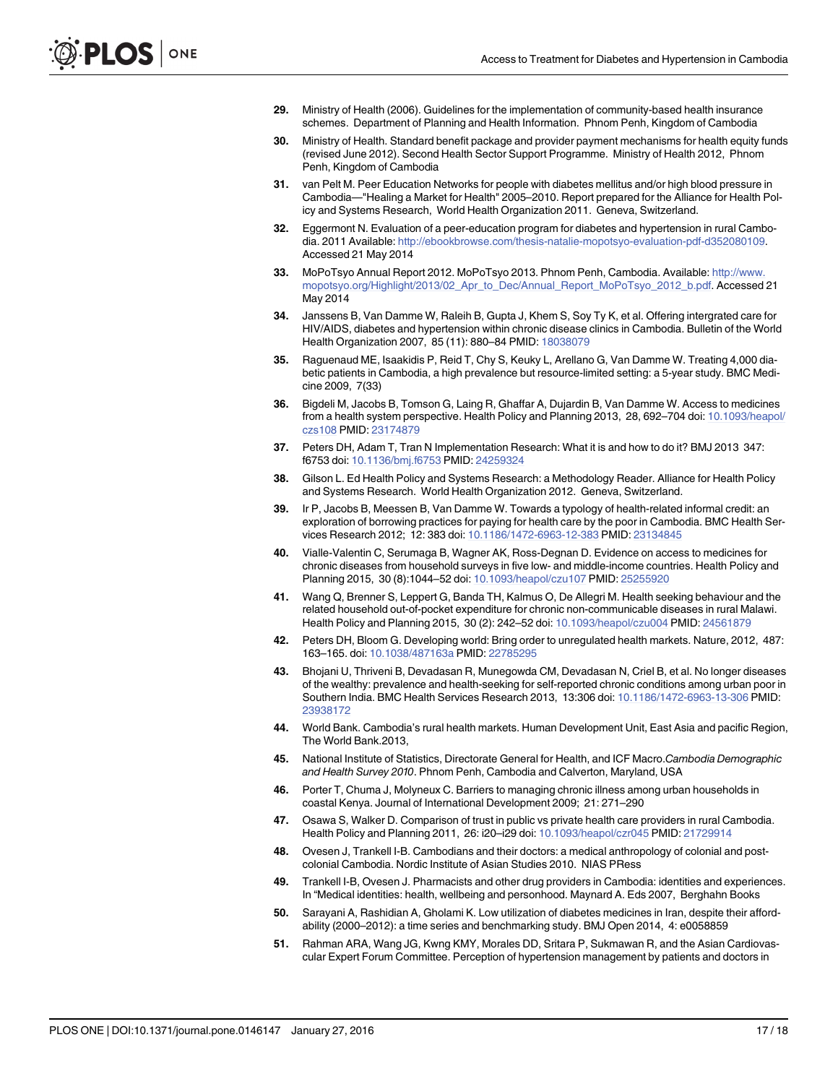- <span id="page-16-0"></span>[29.](#page-2-0) Ministry of Health (2006). Guidelines for the implementation of community-based health insurance schemes. Department of Planning and Health Information. Phnom Penh, Kingdom of Cambodia
- [30.](#page-2-0) Ministry of Health. Standard benefit package and provider payment mechanisms for health equity funds (revised June 2012). Second Health Sector Support Programme. Ministry of Health 2012, Phnom Penh, Kingdom of Cambodia
- [31.](#page-3-0) van Pelt M. Peer Education Networks for people with diabetes mellitus and/or high blood pressure in Cambodia—"Healing a Market for Health" 2005–2010. Report prepared for the Alliance for Health Policy and Systems Research, World Health Organization 2011. Geneva, Switzerland.
- [32.](#page-3-0) Eggermont N. Evaluation of a peer-education program for diabetes and hypertension in rural Cambodia. 2011 Available: <http://ebookbrowse.com/thesis-natalie-mopotsyo-evaluation-pdf-d352080109>. Accessed 21 May 2014
- [33.](#page-3-0) MoPoTsyo Annual Report 2012. MoPoTsyo 2013. Phnom Penh, Cambodia. Available: [http://www.](http://www.mopotsyo.org/Highlight/2013/02_Apr_to_Dec/Annual_Report_MoPoTsyo_2012_b.pdf) [mopotsyo.org/Highlight/2013/02\\_Apr\\_to\\_Dec/Annual\\_Report\\_MoPoTsyo\\_2012\\_b.pdf.](http://www.mopotsyo.org/Highlight/2013/02_Apr_to_Dec/Annual_Report_MoPoTsyo_2012_b.pdf) Accessed 21 May 2014
- [34.](#page-3-0) Janssens B, Van Damme W, Raleih B, Gupta J, Khem S, Soy Ty K, et al. Offering intergrated care for HIV/AIDS, diabetes and hypertension within chronic disease clinics in Cambodia. Bulletin of the World Health Organization 2007, 85 (11): 880–84 PMID: [18038079](http://www.ncbi.nlm.nih.gov/pubmed/18038079)
- [35.](#page-3-0) Raguenaud ME, Isaakidis P, Reid T, Chy S, Keuky L, Arellano G, Van Damme W. Treating 4,000 diabetic patients in Cambodia, a high prevalence but resource-limited setting: a 5-year study. BMC Medicine 2009, 7(33)
- [36.](#page-3-0) Bigdeli M, Jacobs B, Tomson G, Laing R, Ghaffar A, Dujardin B, Van Damme W. Access to medicines from a health system perspective. Health Policy and Planning 2013, 28, 692–704 doi: [10.1093/heapol/](http://dx.doi.org/10.1093/heapol/czs108) [czs108](http://dx.doi.org/10.1093/heapol/czs108) PMID: [23174879](http://www.ncbi.nlm.nih.gov/pubmed/23174879)
- [37.](#page-4-0) Peters DH, Adam T, Tran N Implementation Research: What it is and how to do it? BMJ 2013 347: f6753 doi: [10.1136/bmj.f6753](http://dx.doi.org/10.1136/bmj.f6753) PMID: [24259324](http://www.ncbi.nlm.nih.gov/pubmed/24259324)
- [38.](#page-4-0) Gilson L. Ed Health Policy and Systems Research: a Methodology Reader. Alliance for Health Policy and Systems Research. World Health Organization 2012. Geneva, Switzerland.
- [39.](#page-6-0) Ir P, Jacobs B, Meessen B, Van Damme W. Towards a typology of health-related informal credit: an exploration of borrowing practices for paying for health care by the poor in Cambodia. BMC Health Services Research 2012; 12: 383 doi: [10.1186/1472-6963-12-383](http://dx.doi.org/10.1186/1472-6963-12-383) PMID: [23134845](http://www.ncbi.nlm.nih.gov/pubmed/23134845)
- [40.](#page-11-0) Vialle-Valentin C, Serumaga B, Wagner AK, Ross-Degnan D. Evidence on access to medicines for chronic diseases from household surveys in five low- and middle-income countries. Health Policy and Planning 2015, 30 (8):1044–52 doi: [10.1093/heapol/czu107](http://dx.doi.org/10.1093/heapol/czu107) PMID: [25255920](http://www.ncbi.nlm.nih.gov/pubmed/25255920)
- [41.](#page-11-0) Wang Q, Brenner S, Leppert G, Banda TH, Kalmus O, De Allegri M. Health seeking behaviour and the related household out-of-pocket expenditure for chronic non-communicable diseases in rural Malawi. Health Policy and Planning 2015, 30 (2): 242–52 doi: [10.1093/heapol/czu004](http://dx.doi.org/10.1093/heapol/czu004) PMID: [24561879](http://www.ncbi.nlm.nih.gov/pubmed/24561879)
- 42. Peters DH, Bloom G. Developing world: Bring order to unregulated health markets. Nature, 2012, 487: 163–165. doi: [10.1038/487163a](http://dx.doi.org/10.1038/487163a) PMID: [22785295](http://www.ncbi.nlm.nih.gov/pubmed/22785295)
- 43. Bhojani U, Thriveni B, Devadasan R, Munegowda CM, Devadasan N, Criel B, et al. No longer diseases of the wealthy: prevalence and health-seeking for self-reported chronic conditions among urban poor in Southern India. BMC Health Services Research 2013, 13:306 doi: [10.1186/1472-6963-13-306](http://dx.doi.org/10.1186/1472-6963-13-306) PMID: [23938172](http://www.ncbi.nlm.nih.gov/pubmed/23938172)
- [44.](#page-12-0) World Bank. Cambodia's rural health markets. Human Development Unit, East Asia and pacific Region, The World Bank.2013,
- [45.](#page-11-0) National Institute of Statistics, Directorate General for Health, and ICF Macro.Cambodia Demographic and Health Survey 2010. Phnom Penh, Cambodia and Calverton, Maryland, USA
- [46.](#page-12-0) Porter T, Chuma J, Molyneux C. Barriers to managing chronic illness among urban households in coastal Kenya. Journal of International Development 2009; 21: 271–290
- [47.](#page-12-0) Osawa S, Walker D. Comparison of trust in public vs private health care providers in rural Cambodia. Health Policy and Planning 2011, 26: i20-i29 doi: [10.1093/heapol/czr045](http://dx.doi.org/10.1093/heapol/czr045) PMID: [21729914](http://www.ncbi.nlm.nih.gov/pubmed/21729914)
- [48.](#page-12-0) Ovesen J, Trankell I-B. Cambodians and their doctors: a medical anthropology of colonial and postcolonial Cambodia. Nordic Institute of Asian Studies 2010. NIAS PRess
- [49.](#page-12-0) Trankell I-B, Ovesen J. Pharmacists and other drug providers in Cambodia: identities and experiences. In "Medical identities: health, wellbeing and personhood. Maynard A. Eds 2007, Berghahn Books
- [50.](#page-12-0) Sarayani A, Rashidian A, Gholami K. Low utilization of diabetes medicines in Iran, despite their affordability (2000–2012): a time series and benchmarking study. BMJ Open 2014, 4: e0058859
- [51.](#page-12-0) Rahman ARA, Wang JG, Kwng KMY, Morales DD, Sritara P, Sukmawan R, and the Asian Cardiovascular Expert Forum Committee. Perception of hypertension management by patients and doctors in